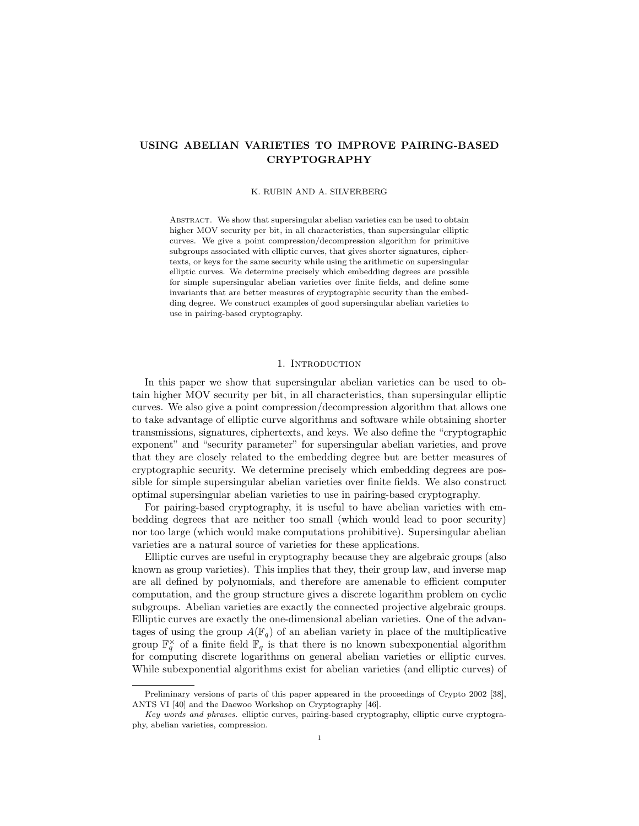# USING ABELIAN VARIETIES TO IMPROVE PAIRING-BASED CRYPTOGRAPHY

#### K. RUBIN AND A. SILVERBERG

Abstract. We show that supersingular abelian varieties can be used to obtain higher MOV security per bit, in all characteristics, than supersingular elliptic curves. We give a point compression/decompression algorithm for primitive subgroups associated with elliptic curves, that gives shorter signatures, ciphertexts, or keys for the same security while using the arithmetic on supersingular elliptic curves. We determine precisely which embedding degrees are possible for simple supersingular abelian varieties over finite fields, and define some invariants that are better measures of cryptographic security than the embedding degree. We construct examples of good supersingular abelian varieties to use in pairing-based cryptography.

#### 1. INTRODUCTION

In this paper we show that supersingular abelian varieties can be used to obtain higher MOV security per bit, in all characteristics, than supersingular elliptic curves. We also give a point compression/decompression algorithm that allows one to take advantage of elliptic curve algorithms and software while obtaining shorter transmissions, signatures, ciphertexts, and keys. We also define the "cryptographic exponent" and "security parameter" for supersingular abelian varieties, and prove that they are closely related to the embedding degree but are better measures of cryptographic security. We determine precisely which embedding degrees are possible for simple supersingular abelian varieties over finite fields. We also construct optimal supersingular abelian varieties to use in pairing-based cryptography.

For pairing-based cryptography, it is useful to have abelian varieties with embedding degrees that are neither too small (which would lead to poor security) nor too large (which would make computations prohibitive). Supersingular abelian varieties are a natural source of varieties for these applications.

Elliptic curves are useful in cryptography because they are algebraic groups (also known as group varieties). This implies that they, their group law, and inverse map are all defined by polynomials, and therefore are amenable to efficient computer computation, and the group structure gives a discrete logarithm problem on cyclic subgroups. Abelian varieties are exactly the connected projective algebraic groups. Elliptic curves are exactly the one-dimensional abelian varieties. One of the advantages of using the group  $A(\mathbb{F}_q)$  of an abelian variety in place of the multiplicative group  $\mathbb{F}_q^{\times}$  of a finite field  $\mathbb{F}_q$  is that there is no known subexponential algorithm for computing discrete logarithms on general abelian varieties or elliptic curves. While subexponential algorithms exist for abelian varieties (and elliptic curves) of

Preliminary versions of parts of this paper appeared in the proceedings of Crypto 2002 [38], ANTS VI [40] and the Daewoo Workshop on Cryptography [46].

Key words and phrases. elliptic curves, pairing-based cryptography, elliptic curve cryptography, abelian varieties, compression.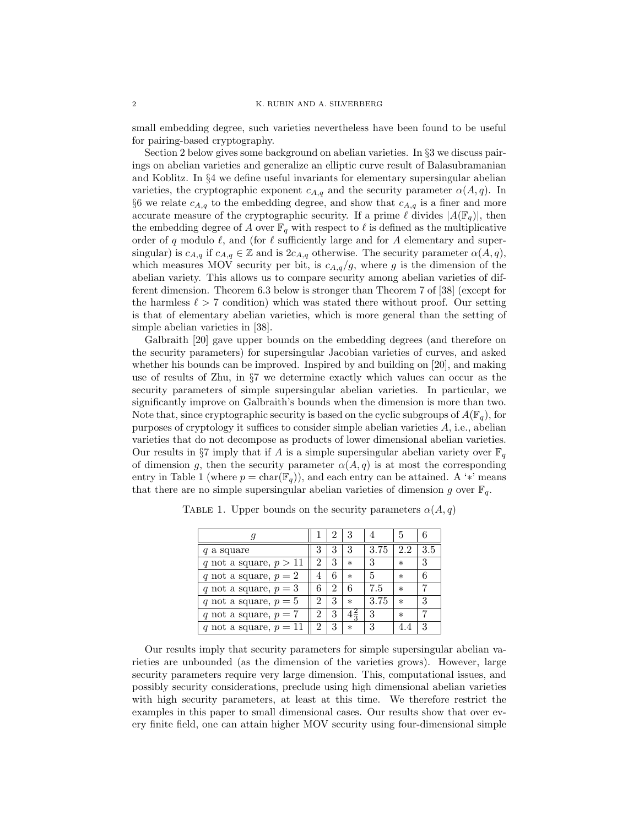small embedding degree, such varieties nevertheless have been found to be useful for pairing-based cryptography.

Section 2 below gives some background on abelian varieties. In §3 we discuss pairings on abelian varieties and generalize an elliptic curve result of Balasubramanian and Koblitz. In §4 we define useful invariants for elementary supersingular abelian varieties, the cryptographic exponent  $c_{A,q}$  and the security parameter  $\alpha(A,q)$ . In §6 we relate  $c_{A,q}$  to the embedding degree, and show that  $c_{A,q}$  is a finer and more accurate measure of the cryptographic security. If a prime  $\ell$  divides  $|A(\mathbb{F}_q)|$ , then the embedding degree of A over  $\mathbb{F}_q$  with respect to  $\ell$  is defined as the multiplicative order of q modulo  $\ell$ , and (for  $\ell$  sufficiently large and for A elementary and supersingular) is  $c_{A,q}$  if  $c_{A,q} \in \mathbb{Z}$  and is  $2c_{A,q}$  otherwise. The security parameter  $\alpha(A,q)$ , which measures MOV security per bit, is  $c_{A,q}/g$ , where g is the dimension of the abelian variety. This allows us to compare security among abelian varieties of different dimension. Theorem 6.3 below is stronger than Theorem 7 of [38] (except for the harmless  $\ell > 7$  condition) which was stated there without proof. Our setting is that of elementary abelian varieties, which is more general than the setting of simple abelian varieties in [38].

Galbraith [20] gave upper bounds on the embedding degrees (and therefore on the security parameters) for supersingular Jacobian varieties of curves, and asked whether his bounds can be improved. Inspired by and building on [20], and making use of results of Zhu, in §7 we determine exactly which values can occur as the security parameters of simple supersingular abelian varieties. In particular, we significantly improve on Galbraith's bounds when the dimension is more than two. Note that, since cryptographic security is based on the cyclic subgroups of  $A(\mathbb{F}_q)$ , for purposes of cryptology it suffices to consider simple abelian varieties A, i.e., abelian varieties that do not decompose as products of lower dimensional abelian varieties. Our results in §7 imply that if A is a simple supersingular abelian variety over  $\mathbb{F}_q$ of dimension g, then the security parameter  $\alpha(A, q)$  is at most the corresponding entry in Table 1 (where  $p = \text{char}(\mathbb{F}_q)$ ), and each entry can be attained. A '\*' means that there are no simple supersingular abelian varieties of dimension g over  $\mathbb{F}_q$ .

|                          |   |   | 3      |      | 5       |     |
|--------------------------|---|---|--------|------|---------|-----|
| $q$ a square             |   | 3 | 3      | 3.75 | 2.2     | 3.5 |
| q not a square, $p > 11$ | 2 | 3 | $\ast$ | 3    | $\ast$  | 3   |
| q not a square, $p=2$    |   | 6 | $\ast$ | 5    | $\ast$  | 6   |
| q not a square, $p = 3$  |   | 2 | 6      | 7.5  | $\ast$  |     |
| q not a square, $p=5$    | 2 | 3 | $\ast$ | 3.75 | $\ast$  | 3   |
| q not a square, $p = 7$  |   | 3 |        | 3    | $^\ast$ |     |
| q not a square, $p = 11$ | 2 | 3 | $\ast$ | 3    |         | 3   |

TABLE 1. Upper bounds on the security parameters  $\alpha(A, q)$ 

Our results imply that security parameters for simple supersingular abelian varieties are unbounded (as the dimension of the varieties grows). However, large security parameters require very large dimension. This, computational issues, and possibly security considerations, preclude using high dimensional abelian varieties with high security parameters, at least at this time. We therefore restrict the examples in this paper to small dimensional cases. Our results show that over every finite field, one can attain higher MOV security using four-dimensional simple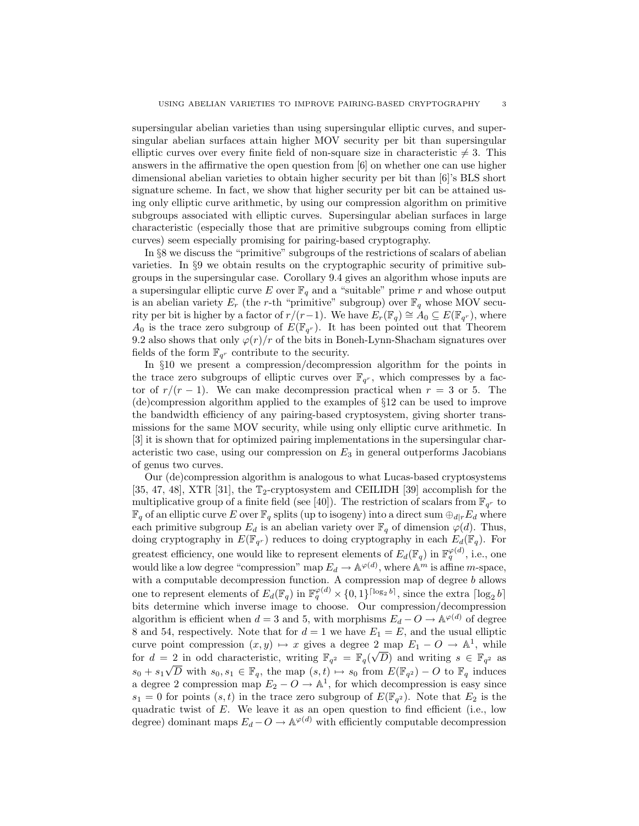supersingular abelian varieties than using supersingular elliptic curves, and supersingular abelian surfaces attain higher MOV security per bit than supersingular elliptic curves over every finite field of non-square size in characteristic  $\neq 3$ . This answers in the affirmative the open question from [6] on whether one can use higher dimensional abelian varieties to obtain higher security per bit than [6]'s BLS short signature scheme. In fact, we show that higher security per bit can be attained using only elliptic curve arithmetic, by using our compression algorithm on primitive subgroups associated with elliptic curves. Supersingular abelian surfaces in large characteristic (especially those that are primitive subgroups coming from elliptic curves) seem especially promising for pairing-based cryptography.

In §8 we discuss the "primitive" subgroups of the restrictions of scalars of abelian varieties. In §9 we obtain results on the cryptographic security of primitive subgroups in the supersingular case. Corollary 9.4 gives an algorithm whose inputs are a supersingular elliptic curve E over  $\mathbb{F}_q$  and a "suitable" prime r and whose output is an abelian variety  $E_r$  (the r-th "primitive" subgroup) over  $\mathbb{F}_q$  whose MOV security per bit is higher by a factor of  $r/(r-1)$ . We have  $E_r(\mathbb{F}_q) \cong A_0 \subseteq E(\mathbb{F}_{q^r})$ , where  $A_0$  is the trace zero subgroup of  $E(\mathbb{F}_{q^r})$ . It has been pointed out that Theorem 9.2 also shows that only  $\varphi(r)/r$  of the bits in Boneh-Lynn-Shacham signatures over fields of the form  $\mathbb{F}_{q^r}$  contribute to the security.

In §10 we present a compression/decompression algorithm for the points in the trace zero subgroups of elliptic curves over  $\mathbb{F}_{q^r}$ , which compresses by a factor of  $r/(r-1)$ . We can make decompression practical when  $r=3$  or 5. The (de)compression algorithm applied to the examples of §12 can be used to improve the bandwidth efficiency of any pairing-based cryptosystem, giving shorter transmissions for the same MOV security, while using only elliptic curve arithmetic. In [3] it is shown that for optimized pairing implementations in the supersingular characteristic two case, using our compression on  $E_3$  in general outperforms Jacobians of genus two curves.

Our (de)compression algorithm is analogous to what Lucas-based cryptosystems [35, 47, 48], XTR [31], the  $\mathbb{T}_2$ -cryptosystem and CEILIDH [39] accomplish for the multiplicative group of a finite field (see [40]). The restriction of scalars from  $\mathbb{F}_{q^r}$  to  $\mathbb{F}_q$  of an elliptic curve E over  $\mathbb{F}_q$  splits (up to isogeny) into a direct sum  $\oplus_{d|r}E_d$  where each primitive subgroup  $E_d$  is an abelian variety over  $\mathbb{F}_q$  of dimension  $\varphi(d)$ . Thus, doing cryptography in  $E(\mathbb{F}_{q^r})$  reduces to doing cryptography in each  $E_d(\mathbb{F}_q)$ . For greatest efficiency, one would like to represent elements of  $E_d(\mathbb{F}_q)$  in  $\mathbb{F}_q^{\varphi(d)}$ , i.e., one would like a low degree "compression" map  $E_d \to \mathbb{A}^{\varphi(d)}$ , where  $\mathbb{A}^m$  is affine *m*-space, with a computable decompression function. A compression map of degree  $b$  allows one to represent elements of  $E_d(\mathbb{F}_q)$  in  $\mathbb{F}_q^{\varphi(d)} \times \{0,1\}^{\lceil \log_2 b \rceil}$ , since the extra  $\lceil \log_2 b \rceil$ bits determine which inverse image to choose. Our compression/decompression algorithm is efficient when  $d = 3$  and 5, with morphisms  $E_d - O \rightarrow \mathbb{A}^{\varphi(d)}$  of degree 8 and 54, respectively. Note that for  $d = 1$  we have  $E_1 = E$ , and the usual elliptic curve point compression  $(x, y) \mapsto x$  gives a degree  $2 \text{ map } E_1 - O \to \mathbb{A}^1$ , while for  $d = 2$  in odd characteristic, writing  $\mathbb{F}_{q^2} = \mathbb{F}_q(\sqrt{D})$  and writing  $s \in \mathbb{F}_{q^2}$  as  $s_0 + s_1\sqrt{D}$  with  $s_0, s_1 \in \mathbb{F}_q$ , the map  $(s,t) \mapsto s_0$  from  $E(\mathbb{F}_{q^2}) - O$  to  $\mathbb{F}_q$  induces a degree 2 compression map  $E_2 - O \rightarrow \mathbb{A}^1$ , for which decompression is easy since  $s_1 = 0$  for points  $(s, t)$  in the trace zero subgroup of  $E(\mathbb{F}_{q^2})$ . Note that  $E_2$  is the quadratic twist of E. We leave it as an open question to find efficient (i.e., low degree) dominant maps  $E_d - O \to \mathbb{A}^{\varphi(d)}$  with efficiently computable decompression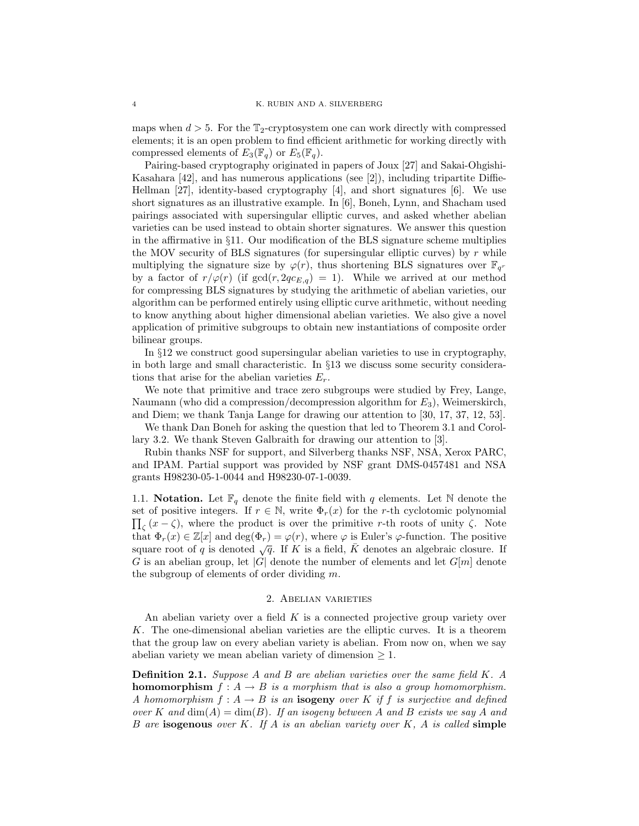maps when  $d > 5$ . For the  $\mathbb{T}_2$ -cryptosystem one can work directly with compressed elements; it is an open problem to find efficient arithmetic for working directly with compressed elements of  $E_3(\mathbb{F}_q)$  or  $E_5(\mathbb{F}_q)$ .

Pairing-based cryptography originated in papers of Joux [27] and Sakai-Ohgishi-Kasahara [42], and has numerous applications (see [2]), including tripartite Diffie-Hellman [27], identity-based cryptography [4], and short signatures [6]. We use short signatures as an illustrative example. In [6], Boneh, Lynn, and Shacham used pairings associated with supersingular elliptic curves, and asked whether abelian varieties can be used instead to obtain shorter signatures. We answer this question in the affirmative in §11. Our modification of the BLS signature scheme multiplies the MOV security of BLS signatures (for supersingular elliptic curves) by  $r$  while multiplying the signature size by  $\varphi(r)$ , thus shortening BLS signatures over  $\mathbb{F}_{q^r}$ by a factor of  $r/\varphi(r)$  (if  $gcd(r, 2qc_{E,q}) = 1$ ). While we arrived at our method for compressing BLS signatures by studying the arithmetic of abelian varieties, our algorithm can be performed entirely using elliptic curve arithmetic, without needing to know anything about higher dimensional abelian varieties. We also give a novel application of primitive subgroups to obtain new instantiations of composite order bilinear groups.

In §12 we construct good supersingular abelian varieties to use in cryptography, in both large and small characteristic. In  $\S13$  we discuss some security considerations that arise for the abelian varieties  $E_r$ .

We note that primitive and trace zero subgroups were studied by Frey, Lange, Naumann (who did a compression/decompression algorithm for  $E_3$ ), Weimerskirch, and Diem; we thank Tanja Lange for drawing our attention to [30, 17, 37, 12, 53].

We thank Dan Boneh for asking the question that led to Theorem 3.1 and Corollary 3.2. We thank Steven Galbraith for drawing our attention to [3].

Rubin thanks NSF for support, and Silverberg thanks NSF, NSA, Xerox PARC, and IPAM. Partial support was provided by NSF grant DMS-0457481 and NSA grants H98230-05-1-0044 and H98230-07-1-0039.

1.1. Notation. Let  $\mathbb{F}_q$  denote the finite field with q elements. Let N denote the  $\prod_{\zeta} (x - \zeta)$ , where the product is over the primitive r-th roots of unity  $\zeta$ . Note set of positive integers. If  $r \in \mathbb{N}$ , write  $\Phi_r(x)$  for the r-th cyclotomic polynomial that  $\Phi_r(x) \in \mathbb{Z}[x]$  and  $\deg(\Phi_r) = \varphi(r)$ , where  $\varphi$  is Euler's  $\varphi$ -function. The positive square root of q is denoted  $\sqrt{q}$ . If K is a field,  $\bar{K}$  denotes an algebraic closure. If G is an abelian group, let |G| denote the number of elements and let  $G[m]$  denote the subgroup of elements of order dividing m.

# 2. Abelian varieties

An abelian variety over a field  $K$  is a connected projective group variety over K. The one-dimensional abelian varieties are the elliptic curves. It is a theorem that the group law on every abelian variety is abelian. From now on, when we say abelian variety we mean abelian variety of dimension  $\geq 1$ .

**Definition 2.1.** Suppose A and B are abelian varieties over the same field K. A **homomorphism**  $f : A \rightarrow B$  is a morphism that is also a group homomorphism. A homomorphism  $f : A \to B$  is an isogeny over K if f is surjective and defined over K and  $\dim(A) = \dim(B)$ . If an isogeny between A and B exists we say A and B are isogenous over K. If A is an abelian variety over K, A is called simple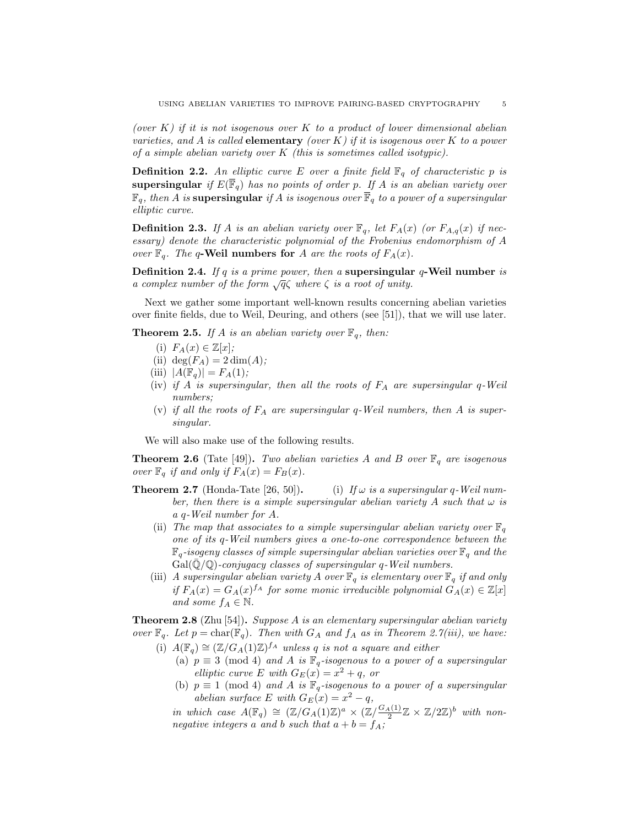(over K) if it is not isogenous over K to a product of lower dimensional abelian varieties, and A is called **elementary** (over K) if it is isogenous over K to a power of a simple abelian variety over  $K$  (this is sometimes called isotypic).

**Definition 2.2.** An elliptic curve E over a finite field  $\mathbb{F}_q$  of characteristic p is supersingular if  $E(\overline{\mathbb{F}}_q)$  has no points of order p. If A is an abelian variety over  $\mathbb{F}_q$ , then A is supersingular if A is isogenous over  $\overline{\mathbb{F}}_q$  to a power of a supersingular elliptic curve.

**Definition 2.3.** If A is an abelian variety over  $\mathbb{F}_q$ , let  $F_A(x)$  (or  $F_{A,q}(x)$  if necessary) denote the characteristic polynomial of the Frobenius endomorphism of A over  $\mathbb{F}_q$ . The q-Weil numbers for A are the roots of  $F_A(x)$ .

**Definition 2.4.** If q is a prime power, then a supersingular q-Weil number is a complex number of the form  $\sqrt{q}\zeta$  where  $\zeta$  is a root of unity.

Next we gather some important well-known results concerning abelian varieties over finite fields, due to Weil, Deuring, and others (see [51]), that we will use later.

**Theorem 2.5.** If A is an abelian variety over  $\mathbb{F}_q$ , then:

- (i)  $F_A(x) \in \mathbb{Z}[x]$ ;
- (ii) deg $(F_A) = 2 \dim(A);$
- (iii)  $|A(\mathbb{F}_q)| = F_A(1);$
- (iv) if A is supersingular, then all the roots of  $F_A$  are supersingular q-Weil numbers;
- (v) if all the roots of  $F_A$  are supersingular q-Weil numbers, then A is supersingular.

We will also make use of the following results.

**Theorem 2.6** (Tate [49]). Two abelian varieties A and B over  $\mathbb{F}_q$  are isogenous over  $\mathbb{F}_q$  if and only if  $F_A(x) = F_B(x)$ .

- **Theorem 2.7** (Honda-Tate [26, 50]). (i) If  $\omega$  is a supersingular q-Weil number, then there is a simple supersingular abelian variety A such that  $\omega$  is a q-Weil number for A.
	- (ii) The map that associates to a simple supersingular abelian variety over  $\mathbb{F}_q$ one of its q-Weil numbers gives a one-to-one correspondence between the  $\mathbb{F}_q$ -isogeny classes of simple supersingular abelian varieties over  $\mathbb{F}_q$  and the  $Gal(\mathbb{Q}/\mathbb{Q})$ -conjugacy classes of supersingular q-Weil numbers.
	- (iii) A supersingular abelian variety A over  $\mathbb{F}_q$  is elementary over  $\mathbb{F}_q$  if and only if  $F_A(x) = G_A(x)$ <sup>f<sub>A</sub></sup> for some monic irreducible polynomial  $G_A(x) \in \mathbb{Z}[x]$ and some  $f_A \in \mathbb{N}$ .

**Theorem 2.8** (Zhu [54]). Suppose A is an elementary supersingular abelian variety over  $\mathbb{F}_q$ . Let  $p = \text{char}(\mathbb{F}_q)$ . Then with  $G_A$  and  $f_A$  as in Theorem 2.7(iii), we have:

- (i)  $A(\mathbb{F}_q) \cong (\mathbb{Z}/G_A(1)\mathbb{Z})^{f_A}$  unless q is not a square and either
	- (a)  $p \equiv 3 \pmod{4}$  and A is  $\mathbb{F}_q$ -isogenous to a power of a supersingular elliptic curve E with  $G_E(x) = x^2 + q$ , or
	- (b)  $p \equiv 1 \pmod{4}$  and A is  $\mathbb{F}_q$ -isogenous to a power of a supersingular abelian surface E with  $G_E(x) = x^2 - q$ ,

in which case  $A(\mathbb{F}_q) \cong (\mathbb{Z}/G_A(1)\mathbb{Z})^a \times (\mathbb{Z}/\frac{G_A(1)}{2}\mathbb{Z} \times \mathbb{Z}/2\mathbb{Z})^b$  with nonnegative integers a and b such that  $a + b = f_A$ ;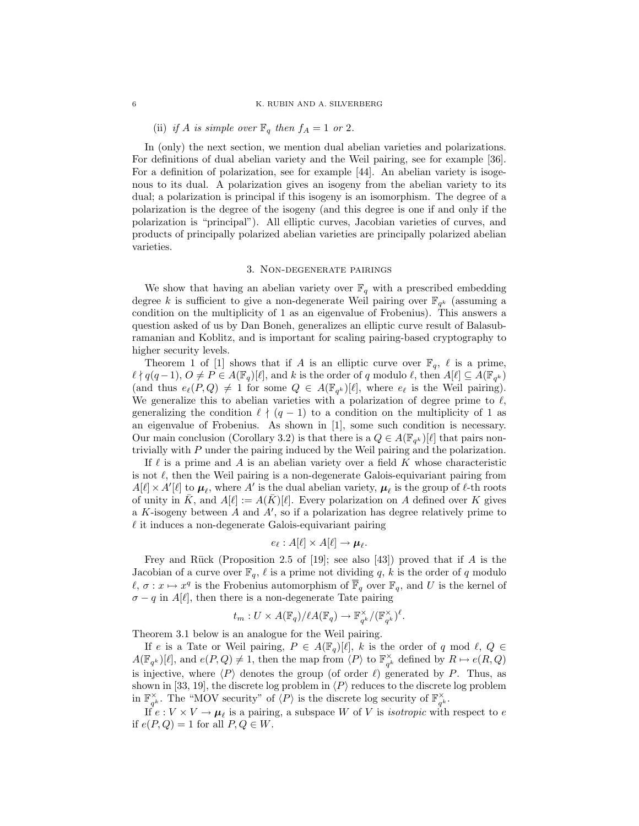(ii) if A is simple over  $\mathbb{F}_q$  then  $f_A = 1$  or 2.

In (only) the next section, we mention dual abelian varieties and polarizations. For definitions of dual abelian variety and the Weil pairing, see for example [36]. For a definition of polarization, see for example [44]. An abelian variety is isogenous to its dual. A polarization gives an isogeny from the abelian variety to its dual; a polarization is principal if this isogeny is an isomorphism. The degree of a polarization is the degree of the isogeny (and this degree is one if and only if the polarization is "principal"). All elliptic curves, Jacobian varieties of curves, and products of principally polarized abelian varieties are principally polarized abelian varieties.

## 3. Non-degenerate pairings

We show that having an abelian variety over  $\mathbb{F}_q$  with a prescribed embedding degree k is sufficient to give a non-degenerate Weil pairing over  $\mathbb{F}_{q^k}$  (assuming a condition on the multiplicity of 1 as an eigenvalue of Frobenius). This answers a question asked of us by Dan Boneh, generalizes an elliptic curve result of Balasubramanian and Koblitz, and is important for scaling pairing-based cryptography to higher security levels.

Theorem 1 of [1] shows that if A is an elliptic curve over  $\mathbb{F}_q$ ,  $\ell$  is a prime,  $\ell \nmid q(q-1), O \neq P \in A(\mathbb{F}_q)[\ell],$  and k is the order of q modulo  $\ell$ , then  $A[\ell] \subseteq A(\mathbb{F}_{q^k})$ (and thus  $e_{\ell}(P,Q) \neq 1$  for some  $Q \in A(\mathbb{F}_{q^k})[\ell],$  where  $e_{\ell}$  is the Weil pairing). We generalize this to abelian varieties with a polarization of degree prime to  $\ell$ , generalizing the condition  $\ell \nmid (q - 1)$  to a condition on the multiplicity of 1 as an eigenvalue of Frobenius. As shown in [1], some such condition is necessary. Our main conclusion (Corollary 3.2) is that there is a  $Q \in A(\mathbb{F}_{q^k})[\ell]$  that pairs nontrivially with P under the pairing induced by the Weil pairing and the polarization.

If  $\ell$  is a prime and A is an abelian variety over a field K whose characteristic is not  $\ell$ , then the Weil pairing is a non-degenerate Galois-equivariant pairing from  $A[\ell] \times A'[\ell]$  to  $\mu_{\ell}$ , where A' is the dual abelian variety,  $\mu_{\ell}$  is the group of  $\ell$ -th roots of unity in K, and  $A[\ell] := A(K)[\ell]$ . Every polarization on A defined over K gives a  $K$ -isogeny between  $A$  and  $A'$ , so if a polarization has degree relatively prime to  $\ell$  it induces a non-degenerate Galois-equivariant pairing

$$
e_{\ell}: A[\ell] \times A[\ell] \to \mu_{\ell}.
$$

Frey and Rück (Proposition 2.5 of [19]; see also [43]) proved that if  $A$  is the Jacobian of a curve over  $\mathbb{F}_q$ ,  $\ell$  is a prime not dividing q, k is the order of q modulo  $\ell, \sigma : x \mapsto x^q$  is the Frobenius automorphism of  $\overline{\mathbb{F}}_q$  over  $\mathbb{F}_q$ , and U is the kernel of  $\sigma - q$  in  $A[\ell]$ , then there is a non-degenerate Tate pairing

$$
t_m: U \times A(\mathbb{F}_q)/\ell A(\mathbb{F}_q) \to \mathbb{F}_{q^k}^{\times}/(\mathbb{F}_{q^k}^{\times})^{\ell}.
$$

Theorem 3.1 below is an analogue for the Weil pairing.

If e is a Tate or Weil pairing,  $P \in A(\mathbb{F}_q)[\ell], k$  is the order of q mod  $\ell, Q \in$  $A(\mathbb{F}_{q^k})[\ell],$  and  $e(P,Q) \neq 1$ , then the map from  $\langle P \rangle$  to  $\mathbb{F}_{q^k}^{\times}$  defined by  $R \mapsto e(R,Q)$ is injective, where  $\langle P \rangle$  denotes the group (of order  $\ell$ ) generated by P. Thus, as shown in [33, 19], the discrete log problem in  $\langle P \rangle$  reduces to the discrete log problem in  $\mathbb{F}_{q^k}^{\times}$ . The "MOV security" of  $\langle P \rangle$  is the discrete log security of  $\mathbb{F}_{q^k}^{\times}$ .

If  $e: V \times V \to \mu_{\ell}$  is a pairing, a subspace W of V is *isotropic* with respect to e if  $e(P,Q) = 1$  for all  $P,Q \in W$ .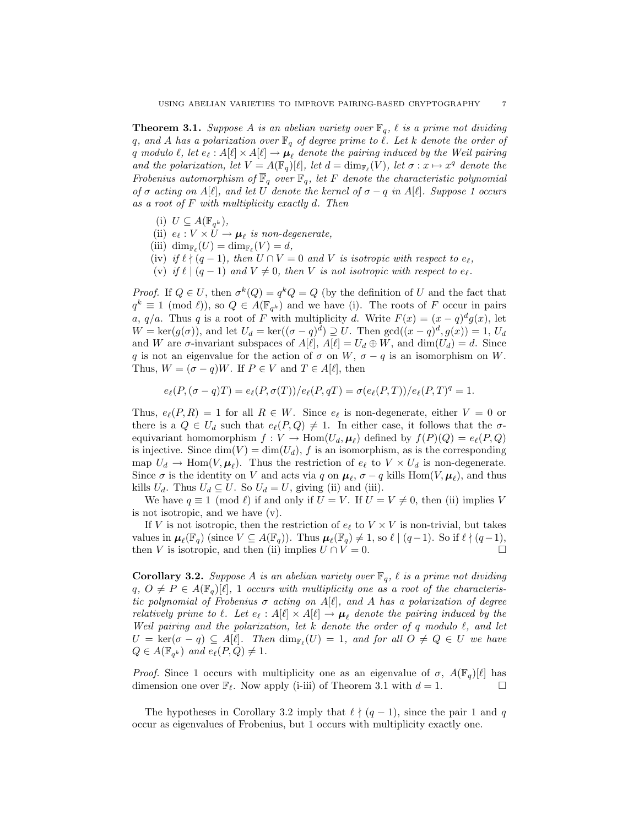**Theorem 3.1.** Suppose A is an abelian variety over  $\mathbb{F}_q$ ,  $\ell$  is a prime not dividing q, and A has a polarization over  $\mathbb{F}_q$  of degree prime to  $\ell$ . Let k denote the order of q modulo  $\ell$ , let  $e_{\ell} : A[\ell] \times A[\ell] \to \mu_{\ell}$  denote the pairing induced by the Weil pairing and the polarization, let  $V = A(\mathbb{F}_q)[\ell],$  let  $d = \dim_{\mathbb{F}_\ell}(V)$ , let  $\sigma : x \mapsto x^q$  denote the Frobenius automorphism of  $\mathbb{F}_q$  over  $\mathbb{F}_q$ , let F denote the characteristic polynomial of  $\sigma$  acting on A[ $\ell$ ], and let U denote the kernel of  $\sigma - q$  in A[ $\ell$ ]. Suppose 1 occurs as a root of F with multiplicity exactly d. Then

- (i)  $U \subseteq A(\mathbb{F}_{q^k}),$
- (ii)  $e_{\ell} : V \times U \to \mu_{\ell}$  is non-degenerate,
- (iii)  $\dim_{\mathbb{F}_\ell}(U) = \dim_{\mathbb{F}_\ell}(V) = d,$
- (iv) if  $\ell \nmid (q 1)$ , then  $U \cap V = 0$  and V is isotropic with respect to  $e_{\ell}$ ,
- (v) if  $\ell \mid (q 1)$  and  $V \neq 0$ , then V is not isotropic with respect to  $e_{\ell}$ .

*Proof.* If  $Q \in U$ , then  $\sigma^k(Q) = q^k Q = Q$  (by the definition of U and the fact that  $q^k \equiv 1 \pmod{\ell}$ , so  $Q \in A(\mathbb{F}_{q^k})$  and we have (i). The roots of F occur in pairs a,  $q/a$ . Thus q is a root of F with multiplicity d. Write  $F(x) = (x - q)^d g(x)$ , let  $W = \ker(g(\sigma))$ , and let  $U_d = \ker((\sigma - q)^d) \supseteq U$ . Then  $gcd((x - q)^d, g(x)) = 1, U_d$ and W are  $\sigma$ -invariant subspaces of  $A[\ell], A[\ell] = U_d \oplus W$ , and  $\dim(U_d) = d$ . Since q is not an eigenvalue for the action of  $\sigma$  on W,  $\sigma - q$  is an isomorphism on W. Thus,  $W = (\sigma - q)W$ . If  $P \in V$  and  $T \in A[\ell]$ , then

$$
e_{\ell}(P, (\sigma - q)T) = e_{\ell}(P, \sigma(T))/e_{\ell}(P, qT) = \sigma(e_{\ell}(P, T))/e_{\ell}(P, T)^{q} = 1.
$$

Thus,  $e_{\ell}(P, R) = 1$  for all  $R \in W$ . Since  $e_{\ell}$  is non-degenerate, either  $V = 0$  or there is a  $Q \in U_d$  such that  $e_{\ell}(P, Q) \neq 1$ . In either case, it follows that the  $\sigma$ equivariant homomorphism  $f: V \to \text{Hom}(U_d, \mu_\ell)$  defined by  $f(P)(Q) = e_\ell(P, Q)$ is injective. Since  $\dim(V) = \dim(U_d)$ , f is an isomorphism, as is the corresponding map  $U_d \to \text{Hom}(V, \mu_\ell)$ . Thus the restriction of  $e_\ell$  to  $V \times U_d$  is non-degenerate. Since  $\sigma$  is the identity on V and acts via q on  $\mu_{\ell}$ ,  $\sigma - q$  kills Hom $(V, \mu_{\ell})$ , and thus kills  $U_d$ . Thus  $U_d \subseteq U$ . So  $U_d = U$ , giving (ii) and (iii).

We have  $q \equiv 1 \pmod{\ell}$  if and only if  $U = V$ . If  $U = V \neq 0$ , then (ii) implies V is not isotropic, and we have (v).

If V is not isotropic, then the restriction of  $e_\ell$  to  $V \times V$  is non-trivial, but takes values in  $\mu_{\ell}(\mathbb{F}_q)$  (since  $V \subseteq A(\mathbb{F}_q)$ ). Thus  $\mu_{\ell}(\mathbb{F}_q) \neq 1$ , so  $\ell \mid (q-1)$ . So if  $\ell \nmid (q-1)$ , then V is isotropic, and then (ii) implies  $U \cap V = 0$ .

**Corollary 3.2.** Suppose A is an abelian variety over  $\mathbb{F}_q$ ,  $\ell$  is a prime not dividing  $q, \, O \neq P \in A(\mathbb{F}_q)[\ell], \, 1 \,$  occurs with multiplicity one as a root of the characteristic polynomial of Frobenius  $\sigma$  acting on A[ $\ell$ ], and A has a polarization of degree relatively prime to  $\ell$ . Let  $e_{\ell} : A[\ell] \times A[\ell] \to \mu_{\ell}$  denote the pairing induced by the Weil pairing and the polarization, let  $k$  denote the order of q modulo  $\ell$ , and let  $U = \text{ker}(\sigma - q) \subseteq A[\ell].$  Then  $\dim_{\mathbb{F}_{\ell}}(U) = 1$ , and for all  $O \neq Q \in U$  we have  $Q \in A(\mathbb{F}_{q^k})$  and  $e_{\ell}(P,Q) \neq 1$ .

*Proof.* Since 1 occurs with multiplicity one as an eigenvalue of  $\sigma$ ,  $A(\mathbb{F}_q)[\ell]$  has dimension one over  $\mathbb{F}_{\ell}$ . Now apply (i-iii) of Theorem 3.1 with  $d = 1$ .

The hypotheses in Corollary 3.2 imply that  $\ell \nmid (q - 1)$ , since the pair 1 and q occur as eigenvalues of Frobenius, but 1 occurs with multiplicity exactly one.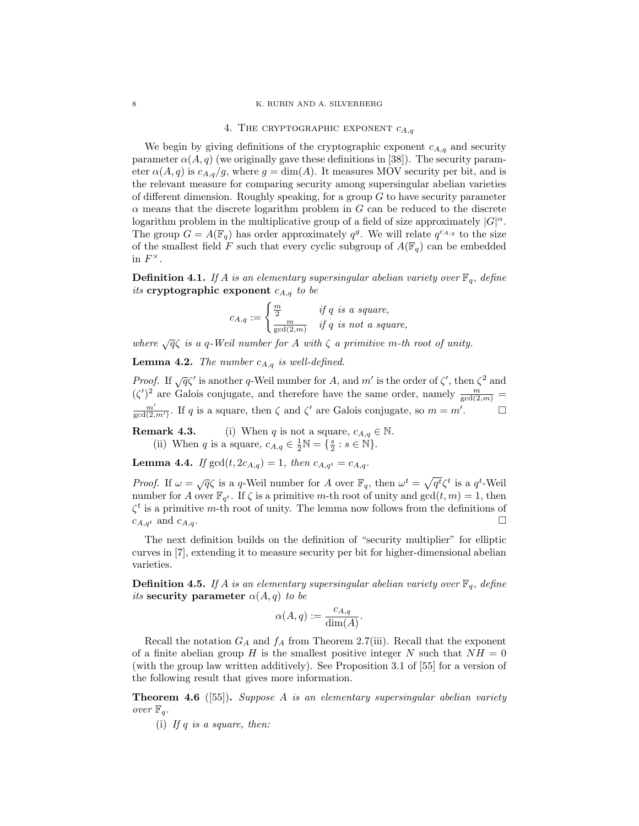#### 8 K. RUBIN AND A. SILVERBERG

### 4. THE CRYPTOGRAPHIC EXPONENT  $c_{A,q}$

We begin by giving definitions of the cryptographic exponent  $c_{A,q}$  and security parameter  $\alpha(A, q)$  (we originally gave these definitions in [38]). The security parameter  $\alpha(A, q)$  is  $c_{A,q}/g$ , where  $g = \dim(A)$ . It measures MOV security per bit, and is the relevant measure for comparing security among supersingular abelian varieties of different dimension. Roughly speaking, for a group  $G$  to have security parameter  $\alpha$  means that the discrete logarithm problem in G can be reduced to the discrete logarithm problem in the multiplicative group of a field of size approximately  $|G|^{\alpha}$ . The group  $G = A(\mathbb{F}_q)$  has order approximately  $q^g$ . We will relate  $q^{c_{A,q}}$  to the size of the smallest field F such that every cyclic subgroup of  $A(\mathbb{F}_q)$  can be embedded in  $F^{\times}$ .

**Definition 4.1.** If A is an elementary supersingular abelian variety over  $\mathbb{F}_q$ , define its cryptographic exponent  $c_{A,q}$  to be

$$
c_{A,q} := \begin{cases} \frac{m}{2} & \text{if } q \text{ is a square,} \\ \frac{m}{\gcd(2,m)} & \text{if } q \text{ is not a square,} \end{cases}
$$

where  $\sqrt{q}\zeta$  is a q-Weil number for A with  $\zeta$  a primitive m-th root of unity.

**Lemma 4.2.** The number  $c_{A,q}$  is well-defined.

*Proof.* If  $\sqrt{q}\zeta'$  is another q-Weil number for A, and m' is the order of  $\zeta'$ , then  $\zeta^2$  and  $(\zeta')^2$  are Galois conjugate, and therefore have the same order, namely  $\frac{m}{\gcd(2,m)}$  =  $\frac{m'}{\gcd(2,m')}$ . If q is a square, then  $\zeta$  and  $\zeta'$  are Galois conjugate, so  $m = m'$  $\Box$ 

**Remark 4.3.** (i) When q is not a square,  $c_{A,q} \in \mathbb{N}$ . (ii) When q is a square,  $c_{A,q} \in \frac{1}{2} \mathbb{N} = \{\frac{s}{2} : s \in \mathbb{N}\}.$ 

**Lemma 4.4.** If  $gcd(t, 2c_{A,q}) = 1$ , then  $c_{A,q}t = c_{A,q}$ .

*Proof.* If  $\omega = \sqrt{q}\zeta$  is a q-Weil number for A over  $\mathbb{F}_q$ , then  $\omega^t = \sqrt{q^t}\zeta^t$  is a  $q^t$ -Weil number for A over  $\mathbb{F}_{q^t}$ . If  $\zeta$  is a primitive m-th root of unity and  $gcd(t, m) = 1$ , then  $\zeta^t$  is a primitive *m*-th root of unity. The lemma now follows from the definitions of  $c_{A,q}$  and  $c_{A,q}$ .

The next definition builds on the definition of "security multiplier" for elliptic curves in [7], extending it to measure security per bit for higher-dimensional abelian varieties.

**Definition 4.5.** If A is an elementary supersingular abelian variety over  $\mathbb{F}_q$ , define its security parameter  $\alpha(A,q)$  to be

$$
\alpha(A, q) := \frac{c_{A,q}}{\dim(A)}.
$$

Recall the notation  $G_A$  and  $f_A$  from Theorem 2.7(iii). Recall that the exponent of a finite abelian group H is the smallest positive integer N such that  $NH = 0$ (with the group law written additively). See Proposition 3.1 of [55] for a version of the following result that gives more information.

**Theorem 4.6** ([55]). Suppose A is an elementary supersingular abelian variety over  $\mathbb{F}_q$ .

(i) If  $q$  is a square, then: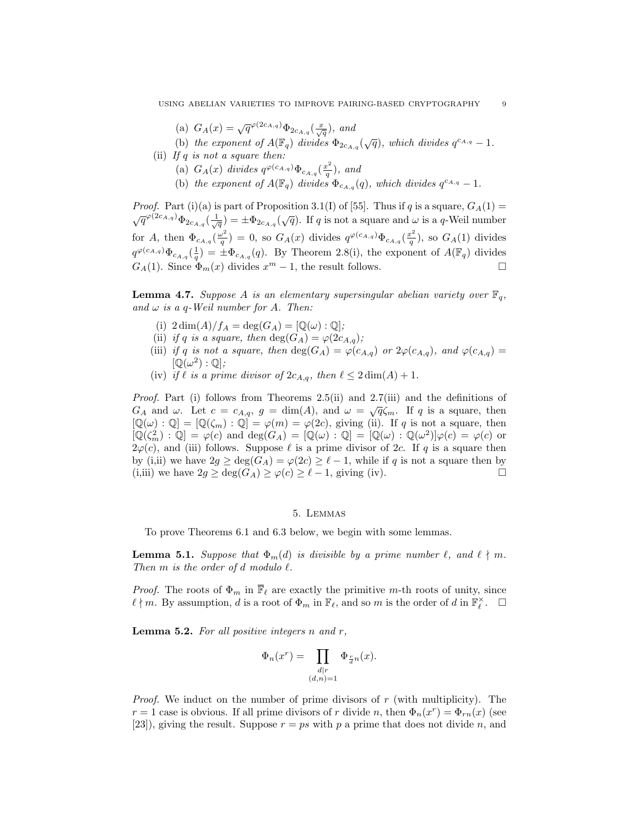- (a)  $G_A(x) = \sqrt{q}^{\varphi(2c_{A,q})} \Phi_{2c_{A,q}}(\frac{x}{\sqrt{q}}),$  and
- (b) the exponent of  $A(\mathbb{F}_q)$  divides  $\Phi_{2c_{A,q}}(\sqrt{q})$ , which divides  $q^{c_{A,q}}-1$ .
- (ii) If  $q$  is not a square then:
	- (a)  $G_A(x)$  divides  $q^{\varphi(c_{A,q})}\Phi_{c_{A,q}}(\frac{x^2}{q})$  $(\frac{c^2}{q}),$  and
	- (b) the exponent of  $A(\mathbb{F}_q)$  divides  $\Phi_{c_{A,q}}(q)$ , which divides  $q^{c_{A,q}}-1$ .

*Proof.* Part (i)(a) is part of Proposition 3.1(I) of [55]. Thus if q is a square,  $G_A(1)$  =  $\sqrt{q}^{\varphi(2c_{A,q})}\Phi_{2c_{A,q}}\left(\frac{1}{\sqrt{q}}\right) = \pm \Phi_{2c_{A,q}}(\sqrt{q})$ . If q is not a square and  $\omega$  is a q-Weil number for A, then  $\Phi_{c_{A,q}}(\frac{\omega^2}{q})$  $\left(q^{\varphi}\right)^2 = 0$ , so  $G_A(x)$  divides  $q^{\varphi(c_{A,q})}\Phi_{c_{A,q}}(\frac{x^2}{q})$  $\frac{c^2}{q}$ ), so  $G_A(1)$  divides  $q^{\varphi(c_{A,q})}\Phi_{c_{A,q}}(\frac{1}{q}) = \pm \Phi_{c_{A,q}}(q)$ . By Theorem 2.8(i), the exponent of  $A(\mathbb{F}_q)$  divides  $G_A(1)$ . Since  $\Phi_m(x)$  divides  $x^m - 1$ , the result follows.

**Lemma 4.7.** Suppose A is an elementary supersingular abelian variety over  $\mathbb{F}_q$ , and  $\omega$  is a q-Weil number for A. Then:

- (i)  $2 \dim(A)/f_A = \deg(G_A) = [\mathbb{Q}(\omega):\mathbb{Q}];$
- (ii) if q is a square, then  $deg(G_A) = \varphi(2c_{A,q});$
- (iii) if q is not a square, then  $deg(G_A) = \varphi(c_{A,q})$  or  $2\varphi(c_{A,q})$ , and  $\varphi(c_{A,q}) =$  $[\mathbb{Q}(\omega^2) : \mathbb{Q}];$
- (iv) if  $\ell$  is a prime divisor of  $2c_{A,q}$ , then  $\ell \leq 2 \dim(A) + 1$ .

Proof. Part (i) follows from Theorems 2.5(ii) and 2.7(iii) and the definitions of  $G_A$  and  $\omega$ . Let  $c = c_{A,q}$ ,  $g = \dim(A)$ , and  $\omega = \sqrt{q}\zeta_m$ . If q is a square, then  $[\mathbb{Q}(\omega) : \mathbb{Q}] = [\mathbb{Q}(\zeta_m) : \mathbb{Q}] = \varphi(m) = \varphi(2c)$ , giving (ii). If q is not a square, then  $[\mathbb{Q}(\zeta_m^2) : \mathbb{Q}] = \varphi(c)$  and  $\deg(G_A) = [\mathbb{Q}(\omega) : \mathbb{Q}] = [\mathbb{Q}(\omega) : \mathbb{Q}(\omega^2)]\varphi(c) = \varphi(c)$  or  $2\varphi(c)$ , and (iii) follows. Suppose  $\ell$  is a prime divisor of 2c. If q is a square then by (i,ii) we have  $2g \ge \deg(G_A) = \varphi(2c) \ge \ell - 1$ , while if q is not a square then by (i,iii) we have  $2g \ge \deg(G_A) \ge \varphi(c) \ge \ell - 1$ , giving (iv).

### 5. Lemmas

To prove Theorems 6.1 and 6.3 below, we begin with some lemmas.

**Lemma 5.1.** Suppose that  $\Phi_m(d)$  is divisible by a prime number  $\ell$ , and  $\ell \nmid m$ . Then  $m$  is the order of  $d$  modulo  $\ell$ .

*Proof.* The roots of  $\Phi_m$  in  $\overline{\mathbb{F}}_\ell$  are exactly the primitive m-th roots of unity, since  $\ell \nmid m$ . By assumption, d is a root of  $\Phi_m$  in  $\mathbb{F}_{\ell}$ , and so m is the order of d in  $\mathbb{F}_{\ell}^{\times}$ .  $\Box$ 

**Lemma 5.2.** For all positive integers  $n$  and  $r$ ,

$$
\Phi_n(x^r) = \prod_{\substack{d \mid r \\ (d,n)=1}} \Phi_{\frac{r}{d}n}(x).
$$

*Proof.* We induct on the number of prime divisors of  $r$  (with multiplicity). The  $r = 1$  case is obvious. If all prime divisors of r divide n, then  $\Phi_n(x^r) = \Phi_{rn}(x)$  (see [23]), giving the result. Suppose  $r = ps$  with p a prime that does not divide n, and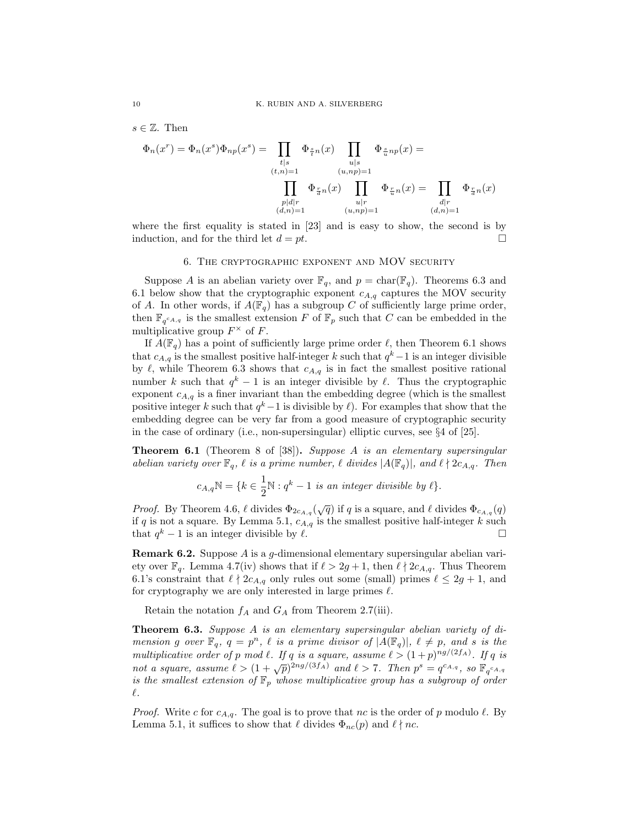$s \in \mathbb{Z}$ . Then

$$
\Phi_n(x^r) = \Phi_n(x^s)\Phi_{np}(x^s) = \prod_{\substack{t|s \ (t,n)=1}} \Phi_{\frac{s}{t}n}(x) \prod_{\substack{u|s \ (u,np)=1}} \Phi_{\frac{s}{u}np}(x) = \prod_{\substack{(u,np)=1 \ (d,n)=1}} \Phi_{\frac{r}{u}n}(x) \prod_{\substack{u|r \ (d,n)=1}} \Phi_{\frac{r}{u}n}(x) = \prod_{\substack{d|r \ (d,n)=1}} \Phi_{\frac{r}{d}n}(x)
$$

where the first equality is stated in [23] and is easy to show, the second is by induction, and for the third let  $d = pt$ .

# 6. The cryptographic exponent and MOV security

Suppose A is an abelian variety over  $\mathbb{F}_q$ , and  $p = \text{char}(\mathbb{F}_q)$ . Theorems 6.3 and 6.1 below show that the cryptographic exponent  $c_{A,q}$  captures the MOV security of A. In other words, if  $A(\mathbb{F}_q)$  has a subgroup C of sufficiently large prime order, then  $\mathbb{F}_{q^c,A,q}$  is the smallest extension F of  $\mathbb{F}_p$  such that C can be embedded in the multiplicative group  $F^{\times}$  of F.

If  $A(\mathbb{F}_q)$  has a point of sufficiently large prime order  $\ell$ , then Theorem 6.1 shows that  $c_{A,q}$  is the smallest positive half-integer k such that  $q^k-1$  is an integer divisible by  $\ell$ , while Theorem 6.3 shows that  $c_{A,q}$  is in fact the smallest positive rational number k such that  $q^k - 1$  is an integer divisible by  $\ell$ . Thus the cryptographic exponent  $c_{A,q}$  is a finer invariant than the embedding degree (which is the smallest positive integer k such that  $q^k-1$  is divisible by  $\ell$ ). For examples that show that the embedding degree can be very far from a good measure of cryptographic security in the case of ordinary (i.e., non-supersingular) elliptic curves, see §4 of [25].

**Theorem 6.1** (Theorem 8 of [38]). Suppose A is an elementary supersingular abelian variety over  $\mathbb{F}_q$ ,  $\ell$  is a prime number,  $\ell$  divides  $|A(\mathbb{F}_q)|$ , and  $\ell \nmid 2c_{A,q}$ . Then

$$
c_{A,q}\mathbb{N} = \{k \in \frac{1}{2}\mathbb{N} : q^k - 1 \text{ is an integer divisible by } \ell\}.
$$

*Proof.* By Theorem 4.6,  $\ell$  divides  $\Phi_{2c_{A,q}}(\sqrt{q})$  if q is a square, and  $\ell$  divides  $\Phi_{c_{A,q}}(q)$ if q is not a square. By Lemma 5.1,  $c_{A,q}$  is the smallest positive half-integer k such that  $q^k - 1$  is an integer divisible by  $\ell$ .

Remark 6.2. Suppose A is a g-dimensional elementary supersingular abelian variety over  $\mathbb{F}_q$ . Lemma 4.7(iv) shows that if  $\ell > 2g + 1$ , then  $\ell \nmid 2c_{A,q}$ . Thus Theorem 6.1's constraint that  $\ell \nmid 2c_{A,q}$  only rules out some (small) primes  $\ell \leq 2g + 1$ , and for cryptography we are only interested in large primes  $\ell$ .

Retain the notation  $f_A$  and  $G_A$  from Theorem 2.7(iii).

Theorem 6.3. Suppose A is an elementary supersingular abelian variety of dimension g over  $\mathbb{F}_q$ ,  $q = p^n$ ,  $\ell$  is a prime divisor of  $|A(\mathbb{F}_q)|$ ,  $\ell \neq p$ , and s is the multiplicative order of p mod  $\ell$ . If q is a square, assume  $\ell > (1+p)^{ng/(2f_A)}$ . If q is matepreciated order by p mod c. 1j q is a square, assume  $\ell > (1 + p)$ . 1j q is<br>not a square, assume  $\ell > (1 + \sqrt{p})^{2ng/(3f_A)}$  and  $\ell > 7$ . Then  $p^s = q^{c_{A,q}}$ , so  $\mathbb{F}_{q^{c_{A,q}}}$ is the smallest extension of  $\mathbb{F}_p$  whose multiplicative group has a subgroup of order  $\ell$ .

*Proof.* Write c for  $c_{A,q}$ . The goal is to prove that nc is the order of p modulo  $\ell$ . By Lemma 5.1, it suffices to show that  $\ell$  divides  $\Phi_{nc}(p)$  and  $\ell \nmid nc$ .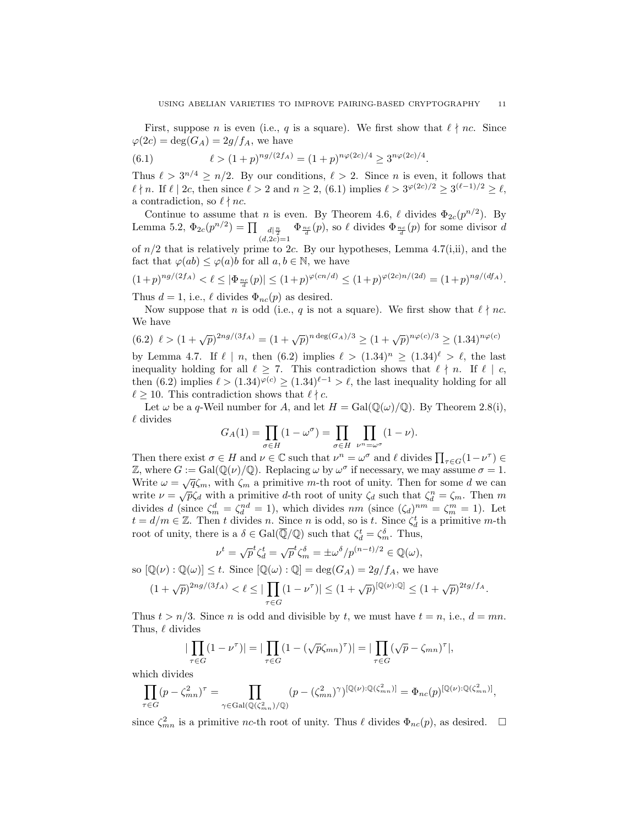First, suppose *n* is even (i.e., *q* is a square). We first show that  $\ell \nmid nc$ . Since  $\varphi(2c) = \deg(G_A) = 2g/f_A$ , we have

(6.1) 
$$
\ell > (1+p)^{ng/(2f_A)} = (1+p)^{n\varphi(2c)/4} \ge 3^{n\varphi(2c)/4}.
$$

Thus  $\ell > 3^{n/4} \ge n/2$ . By our conditions,  $\ell > 2$ . Since *n* is even, it follows that  $\ell \nmid n$ . If  $\ell \mid 2c$ , then since  $\ell > 2$  and  $n \geq 2$ , (6.1) implies  $\ell > 3^{\varphi(2c)/2} \geq 3^{(\ell-1)/2} \geq \ell$ , a contradiction, so  $\ell \nmid nc$ .

Continue to assume that n is even. By Theorem 4.6,  $\ell$  divides  $\Phi_{2c}(p^{n/2})$ . By Lemma 5.2,  $\Phi_{2c}(p^{n/2}) = \prod_{d | \frac{n}{2}}$  $(d, 2c)=1$  $\Phi_{\frac{nc}{d}}(p)$ , so  $\ell$  divides  $\Phi_{\frac{nc}{d}}(p)$  for some divisor d

of  $n/2$  that is relatively prime to 2c. By our hypotheses, Lemma 4.7(i,ii), and the fact that  $\varphi(ab) \leq \varphi(a)b$  for all  $a, b \in \mathbb{N}$ , we have

$$
(1+p)^{ng/(2f_A)} < \ell \le |\Phi_{\frac{nc}{d}}(p)| \le (1+p)^{\varphi(cn/d)} \le (1+p)^{\varphi(2c)n/(2d)} = (1+p)^{ng/(df_A)}.
$$

Thus  $d = 1$ , i.e.,  $\ell$  divides  $\Phi_{nc}(p)$  as desired.

Now suppose that n is odd (i.e., q is not a square). We first show that  $\ell \nmid nc$ . We have

$$
(6.2) \ell > (1+\sqrt{p})^{2ng/(3f_A)} = (1+\sqrt{p})^{n \deg(G_A)/3} \ge (1+\sqrt{p})^{n\varphi(c)/3} \ge (1.34)^{n\varphi(c)}
$$

by Lemma 4.7. If  $\ell \mid n$ , then  $(6.2)$  implies  $\ell > (1.34)^n \ge (1.34)^{\ell} > \ell$ , the last inequality holding for all  $\ell \geq 7$ . This contradiction shows that  $\ell \nmid n$ . If  $\ell \mid c$ , then (6.2) implies  $\ell > (1.34)^{\varphi(c)} \ge (1.34)^{\ell-1} > \ell$ , the last inequality holding for all  $\ell \geq 10$ . This contradiction shows that  $\ell \nmid c$ .

Let  $\omega$  be a q-Weil number for A, and let  $H = \text{Gal}(\mathbb{Q}(\omega)/\mathbb{Q})$ . By Theorem 2.8(i),  $\ell$  divides

$$
G_A(1) = \prod_{\sigma \in H} (1 - \omega^{\sigma}) = \prod_{\sigma \in H} \prod_{\nu^n = \omega^{\sigma}} (1 - \nu).
$$

Then there exist  $\sigma \in H$  and  $\nu \in \mathbb{C}$  such that  $\nu^n = \omega^{\sigma}$  and  $\ell$  divides  $\prod_{\tau \in G} (1 - \nu^{\tau}) \in$  $\mathbb{Z}$ , where  $G := \text{Gal}(\mathbb{Q}(\nu)/\mathbb{Q})$ . Replacing  $\omega$  by  $\omega^{\sigma}$  if necessary, we may assume  $\sigma = 1$ .  $\omega$ , where  $\omega = \sqrt{q}\zeta_m$ , with  $\zeta_m$  a primitive m-th root of unity. Then for some d we can write  $\omega = \sqrt{q} \zeta_m$ , with  $\zeta_m$  a primitive *m*-th root of unity. Then is some a we can<br>write  $\nu = \sqrt{p} \zeta_d$  with a primitive *d*-th root of unity  $\zeta_d$  such that  $\zeta_d^n = \zeta_m$ . Then m divides d (since  $\zeta_m^d = \zeta_d^{nd} = 1$ ), which divides nm (since  $(\zeta_d)^{nm} = \zeta_m^m = 1$ ). Let  $t = d/m \in \mathbb{Z}$ . Then t divides n. Since n is odd, so is t. Since  $\zeta_d^t$  is a primitive m-th root of unity, there is a  $\delta \in \text{Gal}(\overline{\mathbb{Q}}/\mathbb{Q})$  such that  $\zeta_d^t = \zeta_m^{\delta}$ . Thus,

$$
\nu^t = \sqrt{p}^t \zeta_d^t = \sqrt{p}^t \zeta_m^\delta = \pm \omega^\delta / p^{(n-t)/2} \in \mathbb{Q}(\omega),
$$

so  $[\mathbb{Q}(\nu):\mathbb{Q}(\omega)] \leq t$ . Since  $[\mathbb{Q}(\omega):\mathbb{Q}] = \deg(G_A) = 2g/f_A$ , we have

$$
(1+\sqrt{p})^{2ng/(3f_A)} < \ell \leq |\prod_{\tau \in G} (1-\nu^{\tau})| \leq (1+\sqrt{p})^{[\mathbb{Q}(\nu):\mathbb{Q}]} \leq (1+\sqrt{p})^{2tg/f_A}.
$$

Thus  $t > n/3$ . Since n is odd and divisible by t, we must have  $t = n$ , i.e.,  $d = mn$ . Thus,  $\ell$  divides

$$
|\prod_{\tau \in G} (1 - \nu^{\tau})| = |\prod_{\tau \in G} (1 - (\sqrt{p}\zeta_{mn})^{\tau})| = |\prod_{\tau \in G} (\sqrt{p} - \zeta_{mn})^{\tau}|,
$$

which divides

$$
\prod_{\tau \in G} (p - \zeta_{mn}^2)^\tau = \prod_{\gamma \in \text{Gal}(\mathbb{Q}(\zeta_{mn}^2)/\mathbb{Q})} (p - (\zeta_{mn}^2)^\gamma)^{[\mathbb{Q}(\nu):\mathbb{Q}(\zeta_{mn}^2)]} = \Phi_{nc}(p)^{[\mathbb{Q}(\nu):\mathbb{Q}(\zeta_{mn}^2)]},
$$

since  $\zeta_{mn}^2$  is a primitive nc-th root of unity. Thus  $\ell$  divides  $\Phi_{nc}(p)$ , as desired.  $\Box$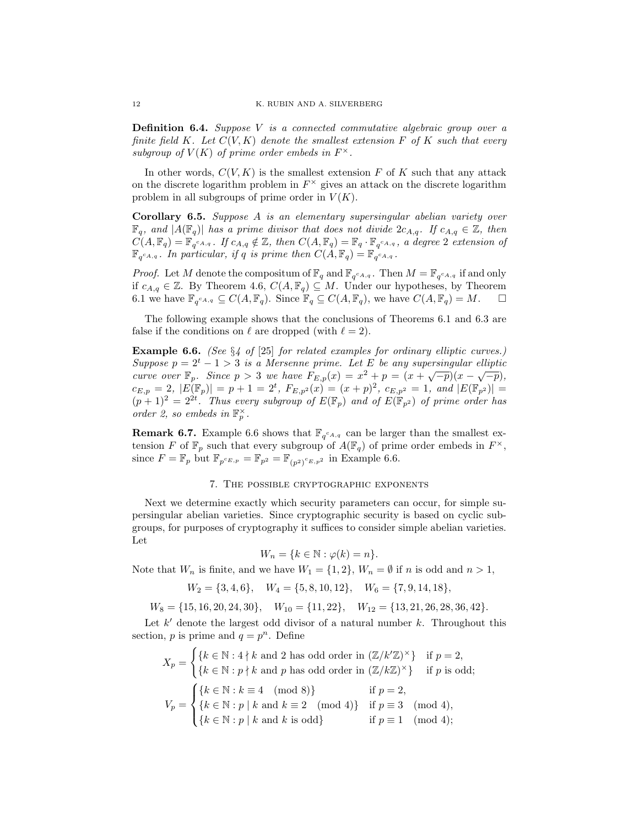**Definition 6.4.** Suppose  $V$  is a connected commutative algebraic group over a finite field K. Let  $C(V, K)$  denote the smallest extension F of K such that every subgroup of  $V(K)$  of prime order embeds in  $F^{\times}$ .

In other words,  $C(V, K)$  is the smallest extension F of K such that any attack on the discrete logarithm problem in  $F^{\times}$  gives an attack on the discrete logarithm problem in all subgroups of prime order in  $V(K)$ .

Corollary 6.5. Suppose A is an elementary supersingular abelian variety over  $\mathbb{F}_q$ , and  $|A(\mathbb{F}_q)|$  has a prime divisor that does not divide  $2c_{A,q}$ . If  $c_{A,q} \in \mathbb{Z}$ , then  $C(A, \mathbb{F}_q) = \mathbb{F}_{q^c A, q}^{\; c}$ . If  $c_{A,q} \notin \mathbb{Z}$ , then  $C(A, \mathbb{F}_q) = \mathbb{F}_q \cdot \mathbb{F}_{q^c A, q}$ , a degree 2 extension of  $\mathbb{F}_{q^c}$ <sub>4,q</sub>. In particular, if q is prime then  $C(A, \mathbb{F}_q) = \mathbb{F}_{q^c}$ <sub>4,q</sub>.

*Proof.* Let M denote the compositum of  $\mathbb{F}_q$  and  $\mathbb{F}_{q^c A,q}$ . Then  $M = \mathbb{F}_{q^c A,q}$  if and only if  $c_{A,q}$  ∈ Z. By Theorem 4.6,  $C(A, \mathbb{F}_q) \subseteq M$ . Under our hypotheses, by Theorem 6.1 we have  $\mathbb{F}_{q^c A,q} \subseteq C(A,\mathbb{F}_q)$ . Since  $\mathbb{F}_q \subseteq C(A,\mathbb{F}_q)$ , we have  $C(A,\mathbb{F}_q) = M$ .  $\Box$ 

The following example shows that the conclusions of Theorems 6.1 and 6.3 are false if the conditions on  $\ell$  are dropped (with  $\ell = 2$ ).

**Example 6.6.** (See  $\S4$  of [25] for related examples for ordinary elliptic curves.) Suppose  $p = 2^t - 1 > 3$  is a Mersenne prime. Let E be any supersingular elliptic suppose  $p = 2 - 1 > 3$  is a mersenic prime. Let E be any supersingular empire curve over  $\mathbb{F}_p$ . Since  $p > 3$  we have  $F_{E,p}(x) = x^2 + p = (x + \sqrt{-p})(x - \sqrt{-p})$ ,  $c_{E,p} = 2, |E(\mathbb{F}_p)| = p + 1 = 2^t, F_{E,p^2}(x) = (x + p)^2, c_{E,p^2} = 1, and |E(\mathbb{F}_{p^2})| =$  $(p+1)^2 = 2^{2t}$ . Thus every subgroup of  $E(\mathbb{F}_p)$  and of  $E(\mathbb{F}_{p^2})$  of prime order has order 2, so embeds in  $\mathbb{F}_p^{\times}$ .

**Remark 6.7.** Example 6.6 shows that  $\mathbb{F}_{q^c}$ <sub>4,q</sub> can be larger than the smallest extension F of  $\mathbb{F}_p$  such that every subgroup of  $A(\mathbb{F}_q)$  of prime order embeds in  $F^{\times}$ , since  $F = \mathbb{F}_p$  but  $\mathbb{F}_{p^c E, p} = \mathbb{F}_{p^2} = \mathbb{F}_{(p^2)^c E, p^2}$  in Example 6.6.

## 7. The possible cryptographic exponents

Next we determine exactly which security parameters can occur, for simple supersingular abelian varieties. Since cryptographic security is based on cyclic subgroups, for purposes of cryptography it suffices to consider simple abelian varieties. Let

$$
W_n = \{k \in \mathbb{N} : \varphi(k) = n\}.
$$

Note that  $W_n$  is finite, and we have  $W_1 = \{1, 2\}$ ,  $W_n = \emptyset$  if n is odd and  $n > 1$ ,

$$
W_2 = \{3, 4, 6\}, \quad W_4 = \{5, 8, 10, 12\}, \quad W_6 = \{7, 9, 14, 18\},
$$

 $W_8 = \{15, 16, 20, 24, 30\}, \quad W_{10} = \{11, 22\}, \quad W_{12} = \{13, 21, 26, 28, 36, 42\}.$ 

Let  $k'$  denote the largest odd divisor of a natural number  $k$ . Throughout this section, p is prime and  $q = p^n$ . Define

$$
X_p = \begin{cases} \{k \in \mathbb{N} : 4 \nmid k \text{ and } 2 \text{ has odd order in } (\mathbb{Z}/k'\mathbb{Z})^\times\} & \text{if } p = 2, \\ \{k \in \mathbb{N} : p \nmid k \text{ and } p \text{ has odd order in } (\mathbb{Z}/k\mathbb{Z})^\times\} & \text{if } p \text{ is odd}; \end{cases}
$$
\n
$$
V_p = \begin{cases} \{k \in \mathbb{N} : k \equiv 4 \pmod{8}\} & \text{if } p = 2, \\ \{k \in \mathbb{N} : p \mid k \text{ and } k \equiv 2 \pmod{4}\} & \text{if } p \equiv 3 \pmod{4}, \\ \{k \in \mathbb{N} : p \mid k \text{ and } k \text{ is odd}\} & \text{if } p \equiv 1 \pmod{4}; \end{cases}
$$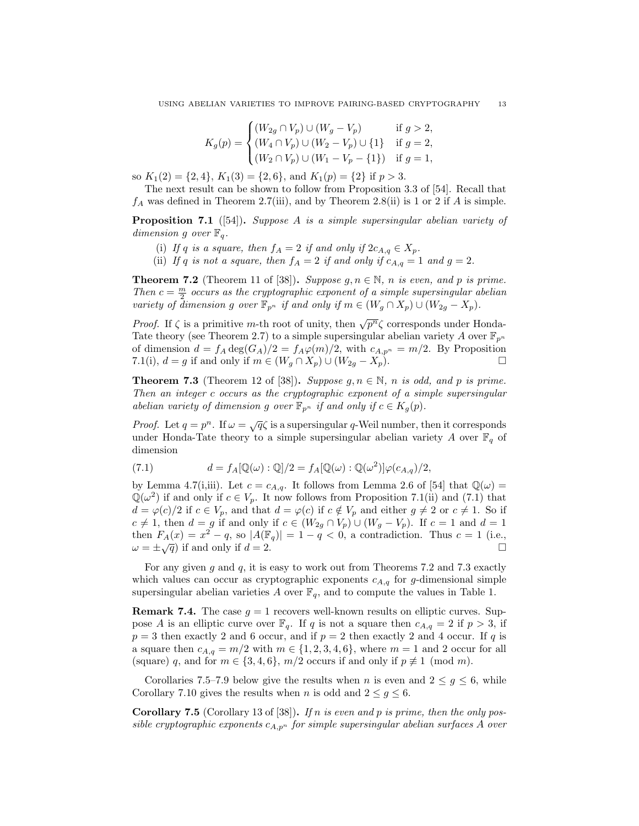$$
K_g(p) = \begin{cases} (W_{2g} \cap V_p) \cup (W_g - V_p) & \text{if } g > 2, \\ (W_4 \cap V_p) \cup (W_2 - V_p) \cup \{1\} & \text{if } g = 2, \\ (W_2 \cap V_p) \cup (W_1 - V_p - \{1\}) & \text{if } g = 1, \end{cases}
$$

so  $K_1(2) = \{2, 4\}, K_1(3) = \{2, 6\}, \text{ and } K_1(p) = \{2\} \text{ if } p > 3.$ 

The next result can be shown to follow from Proposition 3.3 of [54]. Recall that  $f_A$  was defined in Theorem 2.7(iii), and by Theorem 2.8(ii) is 1 or 2 if A is simple.

**Proposition 7.1** ([54]). Suppose A is a simple supersingular abelian variety of dimension g over  $\mathbb{F}_q$ .

- (i) If q is a square, then  $f_A = 2$  if and only if  $2c_{A,q} \in X_p$ .
- (ii) If q is not a square, then  $f_A = 2$  if and only if  $c_{A,q} = 1$  and  $g = 2$ .

**Theorem 7.2** (Theorem 11 of [38]). Suppose  $g, n \in \mathbb{N}$ , n is even, and p is prime. Then  $c = \frac{m}{2}$  occurs as the cryptographic exponent of a simple supersingular abelian variety of dimension g over  $\mathbb{F}_{p^n}$  if and only if  $m \in (W_g \cap X_p) \cup (W_{2g} - X_p)$ .

*Proof.* If  $\zeta$  is a primitive m-th root of unity, then  $\sqrt{p^n}\zeta$  corresponds under Honda-Tate theory (see Theorem 2.7) to a simple supersingular abelian variety A over  $\mathbb{F}_{p^n}$ of dimension  $d = f_A \deg(G_A)/2 = f_A \varphi(m)/2$ , with  $c_{A,p^n} = m/2$ . By Proposition 7.1(i),  $d = g$  if and only if  $m \in (W_g \cap X_p) \cup (W_{2g} - X_p)$ .

**Theorem 7.3** (Theorem 12 of [38]). Suppose  $g, n \in \mathbb{N}$ , n is odd, and p is prime. Then an integer c occurs as the cryptographic exponent of a simple supersingular abelian variety of dimension g over  $\mathbb{F}_{p^n}$  if and only if  $c \in K_q(p)$ .

*Proof.* Let  $q = p^n$ . If  $\omega = \sqrt{q}\zeta$  is a supersingular q-Weil number, then it corresponds under Honda-Tate theory to a simple supersingular abelian variety A over  $\mathbb{F}_q$  of dimension

(7.1) 
$$
d = f_A[\mathbb{Q}(\omega):\mathbb{Q}]/2 = f_A[\mathbb{Q}(\omega):\mathbb{Q}(\omega^2)]\varphi(c_{A,q})/2,
$$

by Lemma 4.7(i,iii). Let  $c = c_{A,q}$ . It follows from Lemma 2.6 of [54] that  $\mathbb{Q}(\omega)$  =  $\mathbb{Q}(\omega^2)$  if and only if  $c \in V_p$ . It now follows from Proposition 7.1(ii) and (7.1) that  $d = \varphi(c)/2$  if  $c \in V_p$ , and that  $d = \varphi(c)$  if  $c \notin V_p$  and either  $g \neq 2$  or  $c \neq 1$ . So if  $c \neq 1$ , then  $d = g$  if and only if  $c \in (W_{2g} \cap V_p) \cup (W_g - V_p)$ . If  $c = 1$  and  $d = 1$ then  $F_A(x) = x^2 - q$ , so  $|A(\mathbb{F}_q)| = 1 - q < 0$ , a contradiction. Thus  $c = 1$  (i.e.,  $\omega = \pm \sqrt{q}$ ) if and only if  $d = 2$ .  $\omega = \pm \sqrt{q}$  if and only if  $d = 2$ .

For any given  $g$  and  $q$ , it is easy to work out from Theorems 7.2 and 7.3 exactly which values can occur as cryptographic exponents  $c_{A,q}$  for g-dimensional simple supersingular abelian varieties A over  $\mathbb{F}_q$ , and to compute the values in Table 1.

**Remark 7.4.** The case  $g = 1$  recovers well-known results on elliptic curves. Suppose A is an elliptic curve over  $\mathbb{F}_q$ . If q is not a square then  $c_{A,q} = 2$  if  $p > 3$ , if  $p = 3$  then exactly 2 and 6 occur, and if  $p = 2$  then exactly 2 and 4 occur. If q is a square then  $c_{A,q} = m/2$  with  $m \in \{1, 2, 3, 4, 6\}$ , where  $m = 1$  and 2 occur for all (square) q, and for  $m \in \{3, 4, 6\}$ ,  $m/2$  occurs if and only if  $p \not\equiv 1 \pmod{m}$ .

Corollaries 7.5–7.9 below give the results when n is even and  $2 \le g \le 6$ , while Corollary 7.10 gives the results when *n* is odd and  $2 \le g \le 6$ .

**Corollary 7.5** (Corollary 13 of [38]). If n is even and p is prime, then the only possible cryptographic exponents  $c_{A,p^n}$  for simple supersingular abelian surfaces A over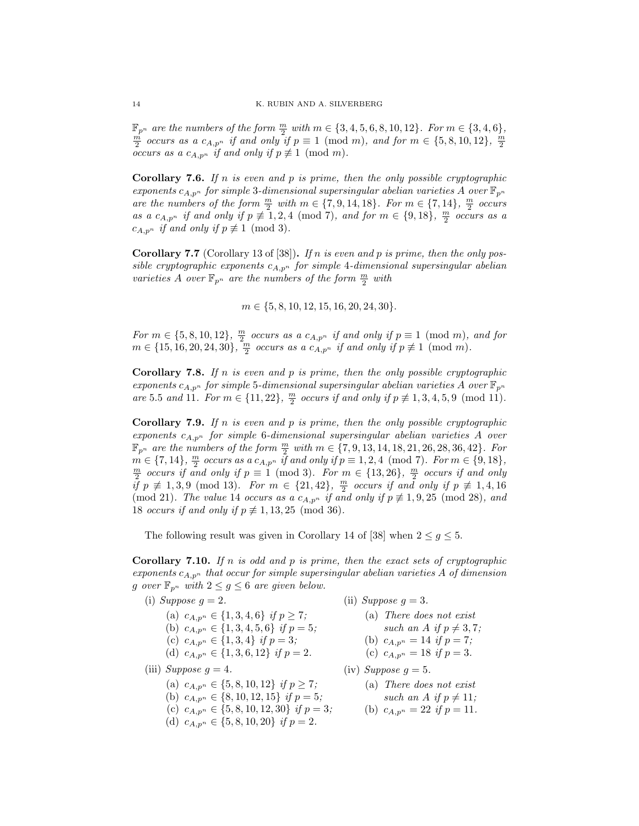$\mathbb{F}_{p^n}$  are the numbers of the form  $\frac{m}{2}$  with  $m \in \{3, 4, 5, 6, 8, 10, 12\}$ . For  $m \in \{3, 4, 6\}$ ,  $\frac{m}{2}$  occurs as a  $c_{A,p^n}$  if and only if  $p \equiv 1 \pmod{m}$ , and for  $m \in \{5, 8, 10, 12\}$ ,  $\frac{m}{2}$ occurs as a  $c_{A,p^n}$  if and only if  $p \not\equiv 1 \pmod{m}$ .

**Corollary 7.6.** If n is even and p is prime, then the only possible cryptographic exponents  $c_{A,p^n}$  for simple 3-dimensional supersingular abelian varieties A over  $\mathbb{F}_{p^n}$ are the numbers of the form  $\frac{m}{2}$  with  $m \in \{7, 9, 14, 18\}$ . For  $m \in \{7, 14\}$ ,  $\frac{m}{2}$  occurs as a  $c_{A,p^n}$  if and only if  $p \not\equiv 1,2,4 \pmod{7}$ , and for  $m \in \{9,18\}$ ,  $\frac{m}{2}$  occurs as a  $c_{A,p^n}$  if and only if  $p \not\equiv 1 \pmod{3}$ .

**Corollary 7.7** (Corollary 13 of [38]). If n is even and p is prime, then the only possible cryptographic exponents  $c_{A,p^n}$  for simple 4-dimensional supersingular abelian varieties A over  $\mathbb{F}_{p^n}$  are the numbers of the form  $\frac{m}{2}$  with

 $m \in \{5, 8, 10, 12, 15, 16, 20, 24, 30\}.$ 

For  $m \in \{5, 8, 10, 12\}$ ,  $\frac{m}{2}$  occurs as a  $c_{A,p^n}$  if and only if  $p \equiv 1 \pmod{m}$ , and for  $m \in \{15, 16, 20, 24, 30\}, \frac{m}{2}$  occurs as a  $c_{A,p^n}$  if and only if  $p \not\equiv 1 \pmod{m}$ .

**Corollary 7.8.** If n is even and p is prime, then the only possible cryptographic exponents  $c_{A,p^n}$  for simple 5-dimensional supersingular abelian varieties A over  $\mathbb{F}_{p^n}$ are 5.5 and 11. For  $m \in \{11, 22\}$ ,  $\frac{m}{2}$  occurs if and only if  $p \not\equiv 1, 3, 4, 5, 9 \pmod{11}$ .

**Corollary 7.9.** If n is even and p is prime, then the only possible cryptographic exponents  $c_{A,p^n}$  for simple 6-dimensional supersingular abelian varieties A over  $\mathbb{F}_{p^n}$  are the numbers of the form  $\frac{m}{2}$  with  $m \in \{7, 9, 13, 14, 18, 21, 26, 28, 36, 42\}$ . For  $m \in \{7, 14\}, \frac{m}{2}$  occurs as a  $c_{A, p^n}$  if and only if  $p \equiv 1, 2, 4 \pmod{7}$ . For  $m \in \{9, 18\},$  $\frac{m}{2}$  occurs if and only if  $p \equiv 1 \pmod{3}$ . For  $m \in \{13, 26\}$ ,  $\frac{m}{2}$  occurs if and only if  $p \not\equiv 1, 3, 9 \pmod{13}$ . For  $m \in \{21, 42\}$ ,  $\frac{m}{2}$  occurs if and only if  $p \not\equiv 1, 4, 16$ (mod 21). The value 14 occurs as a  $c_{A,p^n}$  if and only if  $p \not\equiv 1, 9, 25 \pmod{28}$ , and 18 occurs if and only if  $p \not\equiv 1, 13, 25 \pmod{36}$ .

The following result was given in Corollary 14 of [38] when  $2 \le g \le 5$ .

**Corollary 7.10.** If n is odd and p is prime, then the exact sets of cryptographic exponents  $c_{A,p^n}$  that occur for simple supersingular abelian varieties A of dimension g over  $\mathbb{F}_{p^n}$  with  $2 \leq g \leq 6$  are given below.

- (i) Suppose  $g = 2$ .
	- (a)  $c_{A,p^n} \in \{1,3,4,6\}$  if  $p \geq 7$ ; (b)  $c_{A,p^n} \in \{1,3,4,5,6\}$  if  $p=5$ ; (c)  $c_{A,p^n} \in \{1,3,4\}$  if  $p=3$ ; (d)  $c_{A,p^n} \in \{1,3,6,12\}$  if  $p=2$ .
- (iii) Suppose  $q = 4$ .
	- (a)  $c_{A,p^n} \in \{5, 8, 10, 12\}$  if  $p \geq 7$ ;
	- (b)  $c_{A,p^n} \in \{8, 10, 12, 15\}$  if  $p = 5$ ;
	- (c)  $c_{A,p^n} \in \{5, 8, 10, 12, 30\}$  if  $p = 3$ ;
	- (d)  $c_{A,p^n} \in \{5, 8, 10, 20\}$  if  $p = 2$ .
- (ii) Suppose  $g = 3$ .
	- (a) There does not exist such an A if  $p \neq 3, 7$ ;
	- (b)  $c_{A,p^n} = 14$  if  $p = 7$ ;
	- (c)  $c_{A,p^n} = 18$  if  $p = 3$ .
- (iv) Suppose  $g = 5$ .
	- (a) There does not exist such an A if  $p \neq 11$ ;
	- (b)  $c_{A,p^n} = 22$  if  $p = 11$ .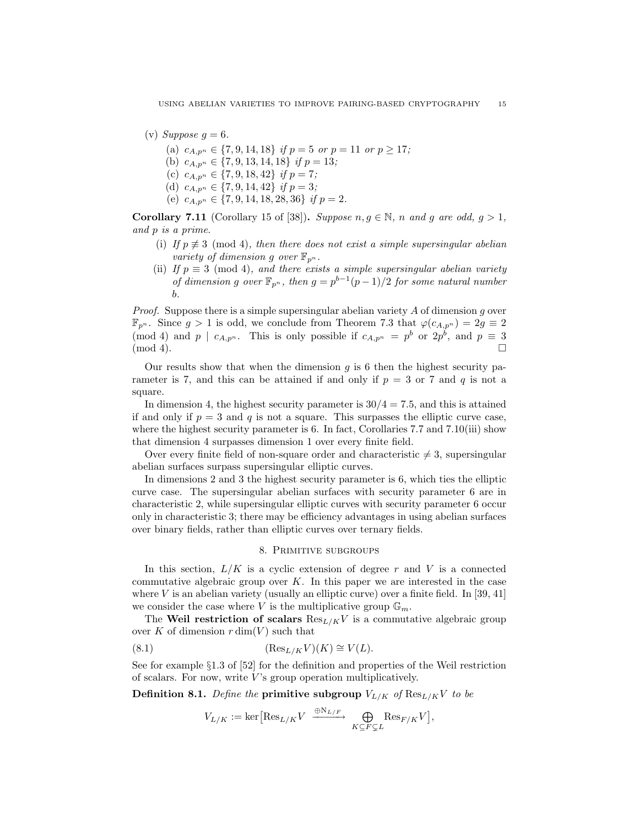- (v) Suppose  $q = 6$ .
	- (a)  $c_{A,p^n} \in \{7,9,14,18\}$  if  $p=5$  or  $p=11$  or  $p \ge 17$ ;
	- (b)  $c_{A,p^n} \in \{7,9,13,14,18\}$  if  $p = 13$ ;
	- (c)  $c_{A,p^n} \in \{7,9,18,42\}$  if  $p=7$ ;
	- (d)  $c_{A,p^n} \in \{7,9,14,42\}$  if  $p=3$ ;
	- (e)  $c_{A,p^n} \in \{7,9,14,18,28,36\}$  if  $p=2$ .

Corollary 7.11 (Corollary 15 of [38]). Suppose  $n, g \in \mathbb{N}$ , n and g are odd,  $g > 1$ , and p is a prime.

- (i) If  $p \not\equiv 3 \pmod{4}$ , then there does not exist a simple supersingular abelian variety of dimension q over  $\mathbb{F}_{p^n}$ .
- (ii) If  $p \equiv 3 \pmod{4}$ , and there exists a simple supersingular abelian variety of dimension g over  $\mathbb{F}_{p^n}$ , then  $g = p^{b-1}(p-1)/2$  for some natural number b.

*Proof.* Suppose there is a simple supersingular abelian variety A of dimension g over  $\mathbb{F}_{p^n}$ . Since  $q > 1$  is odd, we conclude from Theorem 7.3 that  $\varphi(c_{A,p^n}) = 2q \equiv 2$ (mod 4) and p |  $c_{A,p^n}$ . This is only possible if  $c_{A,p^n} = p^b$  or  $2p^b$ , and  $p \equiv 3$  $(\text{mod } 4).$ 

Our results show that when the dimension  $g$  is 6 then the highest security parameter is 7, and this can be attained if and only if  $p = 3$  or 7 and q is not a square.

In dimension 4, the highest security parameter is  $30/4 = 7.5$ , and this is attained if and only if  $p = 3$  and q is not a square. This surpasses the elliptic curve case, where the highest security parameter is 6. In fact, Corollaries 7.7 and 7.10(iii) show that dimension 4 surpasses dimension 1 over every finite field.

Over every finite field of non-square order and characteristic  $\neq 3$ , supersingular abelian surfaces surpass supersingular elliptic curves.

In dimensions 2 and 3 the highest security parameter is 6, which ties the elliptic curve case. The supersingular abelian surfaces with security parameter 6 are in characteristic 2, while supersingular elliptic curves with security parameter 6 occur only in characteristic 3; there may be efficiency advantages in using abelian surfaces over binary fields, rather than elliptic curves over ternary fields.

## 8. Primitive subgroups

In this section,  $L/K$  is a cyclic extension of degree r and V is a connected commutative algebraic group over  $K$ . In this paper we are interested in the case where V is an abelian variety (usually an elliptic curve) over a finite field. In [39, 41] we consider the case where V is the multiplicative group  $\mathbb{G}_m$ .

The Weil restriction of scalars  $\text{Res}_{L/K}V$  is a commutative algebraic group over K of dimension  $r \dim(V)$  such that

(8.1) 
$$
(\text{Res}_{L/K}V)(K) \cong V(L).
$$

See for example §1.3 of [52] for the definition and properties of the Weil restriction of scalars. For now, write  $V$ 's group operation multiplicatively.

**Definition 8.1.** Define the **primitive subgroup**  $V_{L/K}$  of  $\text{Res}_{L/K}V$  to be

$$
V_{L/K}:=\mathrm{ker}\bigl[\mathrm{Res}_{L/K}V\;\xrightarrow{\ \oplus\mathrm{N}_{L/F}\ } \bigoplus_{K\subseteq F\subsetneq L}\mathrm{Res}_{F/K}V\bigr],
$$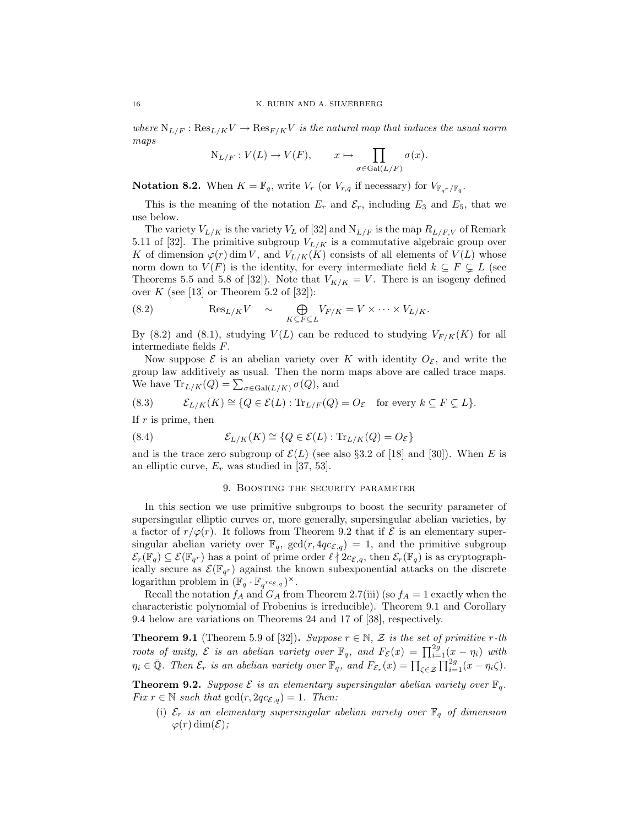where  $N_{L/F}: Res_{L/K}V \to Res_{F/K}V$  is the natural map that induces the usual norm maps

$$
N_{L/F}: V(L) \to V(F), \qquad x \mapsto \prod_{\sigma \in Gal(L/F)} \sigma(x).
$$

**Notation 8.2.** When  $K = \mathbb{F}_q$ , write  $V_r$  (or  $V_{r,q}$  if necessary) for  $V_{\mathbb{F}_{q^r}/\mathbb{F}_q}$ .

This is the meaning of the notation  $E_r$  and  $\mathcal{E}_r$ , including  $E_3$  and  $E_5$ , that we use below.

The variety  $V_{L/K}$  is the variety  $V_L$  of [32] and  $N_{L/F}$  is the map  $R_{L/F,V}$  of Remark 5.11 of [32]. The primitive subgroup  $V_{L/K}$  is a commutative algebraic group over K of dimension  $\varphi(r)$  dim V, and  $V_{L/K}(K)$  consists of all elements of  $V(L)$  whose norm down to  $V(F)$  is the identity, for every intermediate field  $k \subseteq F \subsetneq L$  (see Theorems 5.5 and 5.8 of [32]). Note that  $V_{K/K} = V$ . There is an isogeny defined over  $K$  (see [13] or Theorem 5.2 of [32]):

(8.2) 
$$
\text{Res}_{L/K} V \sim \bigoplus_{K \subseteq F \subseteq L} V_{F/K} = V \times \cdots \times V_{L/K}.
$$

By (8.2) and (8.1), studying  $V(L)$  can be reduced to studying  $V_{F/K}(K)$  for all intermediate fields F.

Now suppose  $\mathcal E$  is an abelian variety over K with identity  $O_{\mathcal E}$ , and write the group law additively as usual. Then the norm maps above are called trace maps. We have  $\text{Tr}_{L/K}(Q) = \sum_{\sigma \in \text{Gal}(L/K)} \sigma(Q)$ , and

(8.3) 
$$
\mathcal{E}_{L/K}(K) \cong \{Q \in \mathcal{E}(L) : \text{Tr}_{L/F}(Q) = O_{\mathcal{E}} \text{ for every } k \subseteq F \subsetneq L\}.
$$

If  $r$  is prime, then

(8.4) 
$$
\mathcal{E}_{L/K}(K) \cong \{Q \in \mathcal{E}(L) : \text{Tr}_{L/K}(Q) = O_{\mathcal{E}}\}
$$

and is the trace zero subgroup of  $\mathcal{E}(L)$  (see also §3.2 of [18] and [30]). When E is an elliptic curve,  $E_r$  was studied in [37, 53].

## 9. Boosting the security parameter

In this section we use primitive subgroups to boost the security parameter of supersingular elliptic curves or, more generally, supersingular abelian varieties, by a factor of  $r/\varphi(r)$ . It follows from Theorem 9.2 that if  $\mathcal E$  is an elementary supersingular abelian variety over  $\mathbb{F}_q$ ,  $gcd(r, 4q c_{\mathcal{E},q}) = 1$ , and the primitive subgroup  $\mathcal{E}_r(\mathbb{F}_q) \subseteq \mathcal{E}(\mathbb{F}_{q^r})$  has a point of prime order  $\ell \nmid 2c_{\mathcal{E},q}$ , then  $\mathcal{E}_r(\mathbb{F}_q)$  is as cryptographically secure as  $\mathcal{E}(\mathbb{F}_{q})$  against the known subexponential attacks on the discrete logarithm problem in  $(\mathbb{F}_q \cdot \mathbb{F}_{q^{rc\mathcal{E},q}})^\times$ .

Recall the notation  $f_A$  and  $G_A$  from Theorem 2.7(iii) (so  $f_A = 1$  exactly when the characteristic polynomial of Frobenius is irreducible). Theorem 9.1 and Corollary 9.4 below are variations on Theorems 24 and 17 of [38], respectively.

**Theorem 9.1** (Theorem 5.9 of [32]). Suppose  $r \in \mathbb{N}$ , Z is the set of primitive r-th roots of unity,  $\mathcal E$  is an abelian variety over  $\mathbb F_q$ , and  $F_{\mathcal E}(x) = \prod_{i=1}^{2g} (x - \eta_i)$  with  $\eta_i \in \bar{\mathbb{Q}}$ . Then  $\mathcal{E}_r$  is an abelian variety over  $\mathbb{F}_q$ , and  $F_{\mathcal{E}_r}(x) = \prod_{\zeta \in \mathcal{Z}} \prod_{i=1}^{2g} (x - \eta_i \zeta)$ .

**Theorem 9.2.** Suppose  $\mathcal{E}$  is an elementary supersingular abelian variety over  $\mathbb{F}_q$ . Fix  $r \in \mathbb{N}$  such that  $gcd(r, 2qc_{\mathcal{E}, q}) = 1$ . Then:

(i)  $\mathcal{E}_r$  is an elementary supersingular abelian variety over  $\mathbb{F}_q$  of dimension  $\varphi(r)\dim(\mathcal{E});$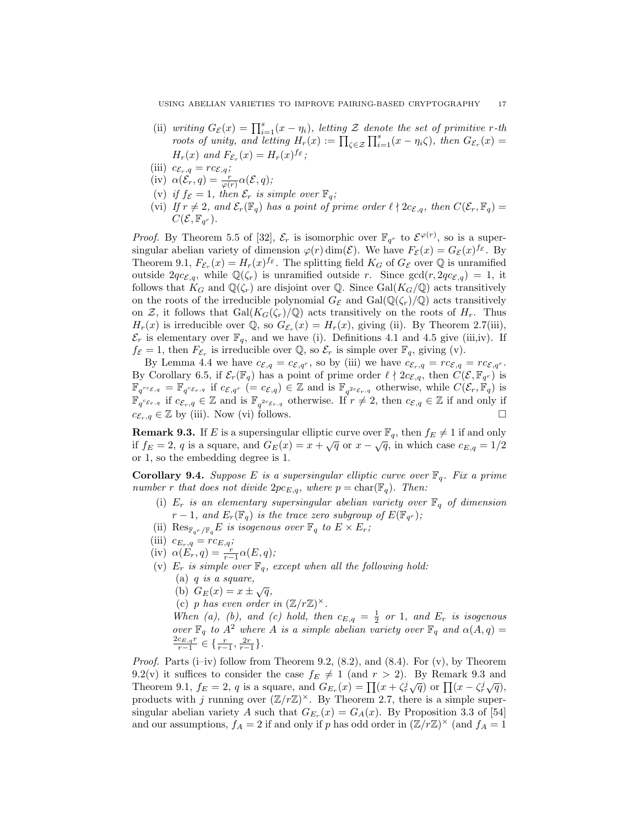- (ii) writing  $G_{\mathcal{E}}(x) = \prod_{i=1}^{s} (x \eta_i)$ , letting  $\mathcal Z$  denote the set of primitive r-th roots of unity, and letting  $H_r(x) := \prod_{\zeta \in \mathcal{Z}} \prod_{i=1}^s (x - \eta_i \zeta)$ , then  $G_{\mathcal{E}_r}(x) =$  $H_r(x)$  and  $F_{\mathcal{E}_r}(x) = H_r(x)^{f_{\mathcal{E}}}$ ;
- (iii)  $c_{\mathcal{E}_r,q} = rc_{\mathcal{E},q};$
- (iv)  $\alpha(\mathcal{E}_r, q) = \frac{r}{\varphi(r)} \alpha(\mathcal{E}, q);$
- (v) if  $f_{\mathcal{E}} = 1$ , then  $\mathcal{E}_r$  is simple over  $\mathbb{F}_q$ ;
- (vi) If  $r \neq 2$ , and  $\mathcal{E}_r(\mathbb{F}_q)$  has a point of prime order  $\ell \nmid 2c_{\mathcal{E},q}$ , then  $C(\mathcal{E}_r, \mathbb{F}_q)$  =  $C(\mathcal{E},\mathbb{F}_{q^r}).$

*Proof.* By Theorem 5.5 of [32],  $\mathcal{E}_r$  is isomorphic over  $\mathbb{F}_{q^r}$  to  $\mathcal{E}^{\varphi(r)}$ , so is a supersingular abelian variety of dimension  $\varphi(r)$  dim( $\mathcal{E}$ ). We have  $F_{\mathcal{E}}(x) = G_{\mathcal{E}}(x)^{f_{\mathcal{E}}}$ . By Theorem 9.1,  $F_{\mathcal{E}_r}(x) = H_r(x)^{f_{\mathcal{E}}}$ . The splitting field  $K_G$  of  $G_{\mathcal{E}}$  over  $\mathbb Q$  is unramified outside  $2qc_{\mathcal{E},q}$ , while  $\mathbb{Q}(\zeta_r)$  is unramified outside r. Since  $gcd(r, 2qc_{\mathcal{E},q}) = 1$ , it follows that  $K_G$  and  $\mathbb{Q}(\zeta_r)$  are disjoint over  $\mathbb{Q}$ . Since Gal $(K_G/\mathbb{Q})$  acts transitively on the roots of the irreducible polynomial  $G_{\mathcal{E}}$  and  $Gal(\mathbb{Q}(\zeta_r)/\mathbb{Q})$  acts transitively on Z, it follows that  $Gal(K_G(\zeta_r)/\mathbb{Q})$  acts transitively on the roots of  $H_r$ . Thus  $H_r(x)$  is irreducible over Q, so  $G_{\mathcal{E}_r}(x) = H_r(x)$ , giving (ii). By Theorem 2.7(iii),  $\mathcal{E}_r$  is elementary over  $\mathbb{F}_q$ , and we have (i). Definitions 4.1 and 4.5 give (iii,iv). If  $f_{\mathcal{E}} = 1$ , then  $F_{\mathcal{E}_r}$  is irreducible over  $\mathbb{Q}$ , so  $\mathcal{E}_r$  is simple over  $\mathbb{F}_q$ , giving (v).

By Lemma 4.4 we have  $c_{\mathcal{E},q} = c_{\mathcal{E},q^r}$ , so by (iii) we have  $c_{\mathcal{E},q} = rc_{\mathcal{E},q} = rc_{\mathcal{E},q^r}$ . By Corollary 6.5, if  $\mathcal{E}_r(\mathbb{F}_q)$  has a point of prime order  $\ell \nmid 2c_{\mathcal{E},q}$ , then  $\hat{C}(\mathcal{E}, \mathbb{F}_{q^r})$  is  $\mathbb{F}_{q^{reg,q}} = \mathbb{F}_{q^{c\varepsilon_{r,q}}}$  if  $c_{\mathcal{E},q^{r}} (= c_{\mathcal{E},q}) \in \mathbb{Z}$  and is  $\mathbb{F}_{q^{2c_{\mathcal{E}_{r,q}}}$  otherwise, while  $C(\mathcal{E}_{r}, \mathbb{F}_{q})$  is  $\mathbb{F}_{q^{c_{\mathcal{E}_{r,q}}}}$  if  $c_{\mathcal{E}_{r,q}} \in \mathbb{Z}$  and is  $\mathbb{F}_{q^{2c_{\mathcal{E}_{r,q}}}}$  otherwise. If  $r \neq 2$ , then  $c_{\mathcal{E},q} \in \mathbb{Z}$  if and only if  $c_{\mathcal{E}_r,q} \in \mathbb{Z}$  by (iii). Now (vi) follows.

**Remark 9.3.** If E is a supersingular elliptic curve over  $\mathbb{F}_q$ , then  $f_E \neq 1$  if and only if  $f_E = 2$ , q is a square, and  $G_E(x) = x + \sqrt{q}$  or  $x - \sqrt{q}$ , in which case  $c_{E,q} = 1/2$ or 1, so the embedding degree is 1.

**Corollary 9.4.** Suppose E is a supersingular elliptic curve over  $\mathbb{F}_q$ . Fix a prime number r that does not divide  $2pc_{E,q}$ , where  $p = \text{char}(\mathbb{F}_q)$ . Then:

- (i)  $E_r$  is an elementary supersingular abelian variety over  $\mathbb{F}_q$  of dimension  $r-1$ , and  $E_r(\mathbb{F}_q)$  is the trace zero subgroup of  $E(\mathbb{F}_{q^r})$ ;
- (ii)  $\text{Res}_{\mathbb{F}_{q^r}/\mathbb{F}_q} E$  is isogenous over  $\mathbb{F}_q$  to  $E \times E_r$ ;
- (iii)  $c_{E_r,q} = rc_{E,q};$
- (iv)  $\alpha(E_r, q) = \frac{r}{r-1} \alpha(E, q);$
- (v)  $E_r$  is simple over  $\mathbb{F}_q$ , except when all the following hold:
	- (a)  $q$  is a square,
	- (b)  $G_E(x) = x \pm \sqrt{q}$ ,
	- (c) p has even order in  $(\mathbb{Z}/r\mathbb{Z})^{\times}$ .

When (a), (b), and (c) hold, then  $c_{E,q} = \frac{1}{2}$  or 1, and  $E_r$  is isogenous over  $\mathbb{F}_q$  to  $A^2$  where A is a simple abelian variety over  $\mathbb{F}_q$  and  $\alpha(A,q)$  =  $\frac{2c_{E,q}r}{r-1} \in \{\frac{r}{r-1}, \frac{2r}{r-1}\}.$ 

*Proof.* Parts (i–iv) follow from Theorem 9.2,  $(8.2)$ , and  $(8.4)$ . For  $(v)$ , by Theorem 9.2(v) it suffices to consider the case  $f_E \neq 1$  (and  $r > 2$ ). By Remark 9.3 and Theorem 9.1,  $f_E = 2$ , q is a square, and  $G_{E_r}(x) = \prod (x + \zeta_r^j \sqrt{q})$  or  $\prod (x - \zeta_r^j \sqrt{q})$ , products with j running over  $(\mathbb{Z}/r\mathbb{Z})^{\times}$ . By Theorem 2.7, there is a simple supersingular abelian variety A such that  $G_{E_r}(x) = G_A(x)$ . By Proposition 3.3 of [54] and our assumptions,  $f_A = 2$  if and only if p has odd order in  $(\mathbb{Z}/r\mathbb{Z})^{\times}$  (and  $f_A = 1$ )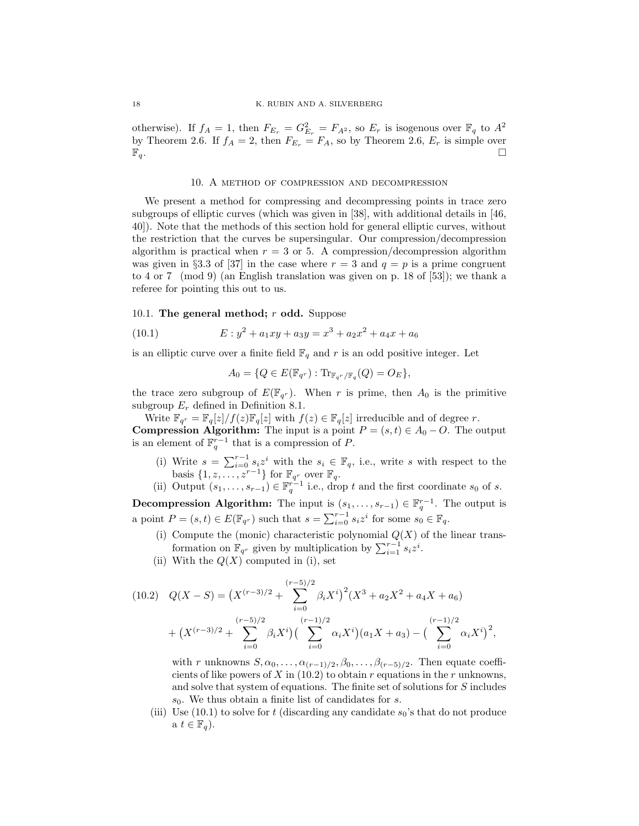otherwise). If  $f_A = 1$ , then  $F_{E_r} = G_{E_r}^2 = F_{A^2}$ , so  $E_r$  is isogenous over  $\mathbb{F}_q$  to  $A^2$ by Theorem 2.6. If  $f_A = 2$ , then  $F_{E_r} = F_A$ , so by Theorem 2.6,  $E_r$  is simple over  $\mathbb{F}_q$ .

### 10. A method of compression and decompression

We present a method for compressing and decompressing points in trace zero subgroups of elliptic curves (which was given in [38], with additional details in [46,] 40]). Note that the methods of this section hold for general elliptic curves, without the restriction that the curves be supersingular. Our compression/decompression algorithm is practical when  $r = 3$  or 5. A compression/decompression algorithm was given in §3.3 of [37] in the case where  $r = 3$  and  $q = p$  is a prime congruent to 4 or 7 (mod 9) (an English translation was given on p. 18 of [53]); we thank a referee for pointing this out to us.

#### 10.1. The general method;  $r$  odd. Suppose

(10.1) 
$$
E: y^2 + a_1xy + a_3y = x^3 + a_2x^2 + a_4x + a_6
$$

is an elliptic curve over a finite field  $\mathbb{F}_q$  and r is an odd positive integer. Let

$$
A_0 = \{Q \in E(\mathbb{F}_{q^r}) : \text{Tr}_{\mathbb{F}_{q^r}/\mathbb{F}_q}(Q) = O_E\},\
$$

the trace zero subgroup of  $E(\mathbb{F}_{q^r})$ . When r is prime, then  $A_0$  is the primitive subgroup  $E_r$  defined in Definition 8.1.

Write  $\mathbb{F}_{q^r} = \mathbb{F}_q[z]/f(z)\mathbb{F}_q[z]$  with  $f(z) \in \mathbb{F}_q[z]$  irreducible and of degree r.

**Compression Algorithm:** The input is a point  $P = (s, t) \in A_0 - O$ . The output is an element of  $\mathbb{F}_q^{r-1}$  that is a compression of P.

- (i) Write  $s = \sum_{i=0}^{r-1} s_i z^i$  with the  $s_i \in \mathbb{F}_q$ , i.e., write s with respect to the basis  $\{1, z, \ldots, z^{r-1}\}$  for  $\mathbb{F}_{q^r}$  over  $\mathbb{F}_q$ .
- (ii) Output  $(s_1, \ldots, s_{r-1}) \in \mathbb{F}_q^{r-1}$  i.e., drop t and the first coordinate  $s_0$  of s.

**Decompression Algorithm:** The input is  $(s_1, \ldots, s_{r-1}) \in \mathbb{F}_q^{r-1}$ . The output is a point  $P = (s, t) \in E(\mathbb{F}_{q^r})$  such that  $s = \sum_{i=0}^{r-1} s_i z^i$  for some  $s_0 \in \mathbb{F}_q$ .

- (i) Compute the (monic) characteristic polynomial  $Q(X)$  of the linear transformation on  $\mathbb{F}_{q^r}$  given by multiplication by  $\sum_{i=1}^{r-1} s_i z^i$ .
- (ii) With the  $Q(X)$  computed in (i), set

$$
(10.2) \quad Q(X-S) = \left(X^{(r-3)/2} + \sum_{i=0}^{(r-5)/2} \beta_i X^i\right)^2 \left(X^3 + a_2 X^2 + a_4 X + a_6\right) + \left(X^{(r-3)/2} + \sum_{i=0}^{(r-5)/2} \beta_i X^i\right) \left(\sum_{i=0}^{(r-1)/2} \alpha_i X^i\right) \left(a_1 X + a_3\right) - \left(\sum_{i=0}^{(r-1)/2} \alpha_i X^i\right)^2,
$$

with r unknowns  $S, \alpha_0, \ldots, \alpha_{(r-1)/2}, \beta_0, \ldots, \beta_{(r-5)/2}$ . Then equate coefficients of like powers of X in (10.2) to obtain  $r$  equations in the  $r$  unknowns, and solve that system of equations. The finite set of solutions for S includes  $s_0$ . We thus obtain a finite list of candidates for s.

(iii) Use (10.1) to solve for t (discarding any candidate  $s_0$ 's that do not produce a  $t \in \mathbb{F}_q$ .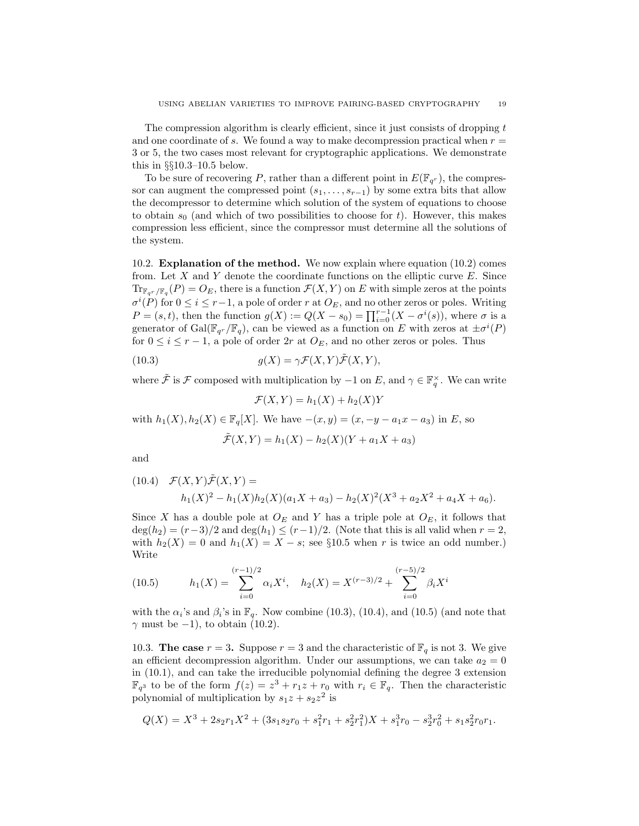The compression algorithm is clearly efficient, since it just consists of dropping  $t$ and one coordinate of s. We found a way to make decompression practical when  $r =$ 3 or 5, the two cases most relevant for cryptographic applications. We demonstrate this in §§10.3–10.5 below.

To be sure of recovering P, rather than a different point in  $E(\mathbb{F}_{q^r})$ , the compressor can augment the compressed point  $(s_1, \ldots, s_{r-1})$  by some extra bits that allow the decompressor to determine which solution of the system of equations to choose to obtain  $s_0$  (and which of two possibilities to choose for t). However, this makes compression less efficient, since the compressor must determine all the solutions of the system.

10.2. Explanation of the method. We now explain where equation (10.2) comes from. Let  $X$  and  $Y$  denote the coordinate functions on the elliptic curve  $E$ . Since  $\text{Tr}_{\mathbb{F}_{q^r}/\mathbb{F}_q}(P) = O_E$ , there is a function  $\mathcal{F}(X, Y)$  on E with simple zeros at the points  $\sigma^{i}(P)$  for  $0 \leq i \leq r-1$ , a pole of order r at  $O_{E}$ , and no other zeros or poles. Writing  $P = (s, t)$ , then the function  $g(X) := Q(X - s_0) = \prod_{i=0}^{r-1} (X - \sigma^i(s))$ , where  $\sigma$  is a generator of Gal( $\mathbb{F}_{q^r}/\mathbb{F}_q$ ), can be viewed as a function on E with zeros at  $\pm \sigma^i(P)$ for  $0 \leq i \leq r-1$ , a pole of order  $2r$  at  $O_E$ , and no other zeros or poles. Thus

(10.3) 
$$
g(X) = \gamma \mathcal{F}(X, Y)\tilde{\mathcal{F}}(X, Y),
$$

where  $\tilde{\mathcal{F}}$  is  $\mathcal F$  composed with multiplication by  $-1$  on E, and  $\gamma \in \mathbb F_q^{\times}$ . We can write

$$
\mathcal{F}(X, Y) = h_1(X) + h_2(X)Y
$$
  
with  $h_1(X), h_2(X) \in \mathbb{F}_q[X]$ . We have  $-(x, y) = (x, -y - a_1x - a_3)$  in E, so  

$$
\tilde{\mathcal{F}}(X, Y) = h_1(X) - h_2(X)(Y + a_1X + a_3)
$$

and

(10.4) 
$$
\mathcal{F}(X,Y)\tilde{\mathcal{F}}(X,Y) = h_1(X)^2 - h_1(X)h_2(X)(a_1X + a_3) - h_2(X)^2(X^3 + a_2X^2 + a_4X + a_6).
$$

Since X has a double pole at  $O_E$  and Y has a triple pole at  $O_E$ , it follows that  $\deg(h_2) = (r-3)/2$  and  $\deg(h_1) \le (r-1)/2$ . (Note that this is all valid when  $r = 2$ , with  $h_2(X) = 0$  and  $h_1(X) = X - s$ ; see §10.5 when r is twice an odd number.) Write

(10.5) 
$$
h_1(X) = \sum_{i=0}^{(r-1)/2} \alpha_i X^i, \quad h_2(X) = X^{(r-3)/2} + \sum_{i=0}^{(r-5)/2} \beta_i X^i
$$

with the  $\alpha_i$ 's and  $\beta_i$ 's in  $\mathbb{F}_q$ . Now combine (10.3), (10.4), and (10.5) (and note that  $\gamma$  must be -1), to obtain (10.2).

10.3. The case  $r = 3$ . Suppose  $r = 3$  and the characteristic of  $\mathbb{F}_q$  is not 3. We give an efficient decompression algorithm. Under our assumptions, we can take  $a_2 = 0$ in (10.1), and can take the irreducible polynomial defining the degree 3 extension  $\mathbb{F}_{q^3}$  to be of the form  $f(z) = z^3 + r_1z + r_0$  with  $r_i \in \mathbb{F}_q$ . Then the characteristic polynomial of multiplication by  $s_1z + s_2z^2$  is

$$
Q(X) = X^3 + 2s_2r_1X^2 + (3s_1s_2r_0 + s_1^2r_1 + s_2^2r_1^2)X + s_1^3r_0 - s_2^3r_0^2 + s_1s_2^2r_0r_1.
$$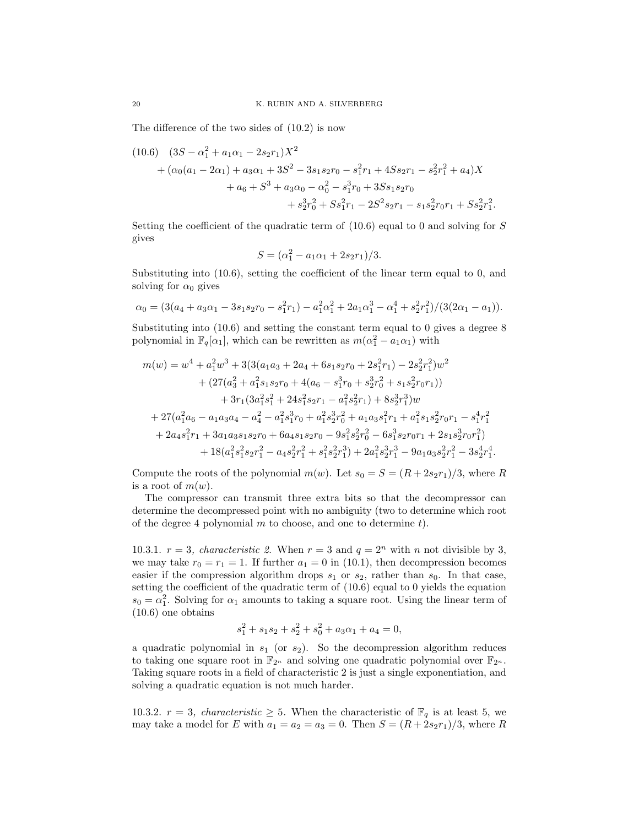The difference of the two sides of (10.2) is now

$$
(10.6) \quad (3S - \alpha_1^2 + a_1\alpha_1 - 2s_2r_1)X^2
$$
  
+ 
$$
(\alpha_0(a_1 - 2\alpha_1) + a_3\alpha_1 + 3S^2 - 3s_1s_2r_0 - s_1^2r_1 + 4Ss_2r_1 - s_2^2r_1^2 + a_4)X
$$
  
+ 
$$
a_6 + S^3 + a_3\alpha_0 - \alpha_0^2 - s_1^3r_0 + 3Ss_1s_2r_0
$$
  
+ 
$$
s_2^3r_0^2 + Ss_1^2r_1 - 2S^2s_2r_1 - s_1s_2^2r_0r_1 + Ss_2^2r_1^2.
$$

Setting the coefficient of the quadratic term of  $(10.6)$  equal to 0 and solving for S gives

$$
S = (\alpha_1^2 - a_1\alpha_1 + 2s_2r_1)/3.
$$

Substituting into (10.6), setting the coefficient of the linear term equal to 0, and solving for  $\alpha_0$  gives

$$
\alpha_0 = (3(a_4 + a_3\alpha_1 - 3s_1s_2r_0 - s_1^2r_1) - a_1^2\alpha_1^2 + 2a_1\alpha_1^3 - \alpha_1^4 + s_2^2r_1^2)/(3(2\alpha_1 - a_1)).
$$

Substituting into (10.6) and setting the constant term equal to 0 gives a degree 8 polynomial in  $\mathbb{F}_q[\alpha_1]$ , which can be rewritten as  $m(\alpha_1^2 - a_1\alpha_1)$  with

$$
m(w) = w^{4} + a_{1}^{2}w^{3} + 3(3(a_{1}a_{3} + 2a_{4} + 6s_{1}s_{2}r_{0} + 2s_{1}^{2}r_{1}) - 2s_{2}^{2}r_{1}^{2})w^{2}
$$
  
+ 
$$
(27(a_{3}^{2} + a_{1}^{2}s_{1}s_{2}r_{0} + 4(a_{6} - s_{1}^{3}r_{0} + s_{2}^{3}r_{0}^{2} + s_{1}s_{2}^{2}r_{0}r_{1}))
$$

$$
+ 3r_{1}(3a_{1}^{2}s_{1}^{2} + 24s_{1}^{2}s_{2}r_{1} - a_{1}^{2}s_{2}^{2}r_{1}) + 8s_{2}^{3}r_{1}^{3})w
$$

$$
+ 27(a_{1}^{2}a_{6} - a_{1}a_{3}a_{4} - a_{4}^{2} - a_{1}^{2}s_{1}^{3}r_{0} + a_{1}^{2}s_{2}^{3}r_{0}^{2} + a_{1}a_{3}s_{1}^{2}r_{1} + a_{1}^{2}s_{1}s_{2}^{2}r_{0}r_{1} - s_{1}^{4}r_{1}^{2}
$$

$$
+ 2a_{4}s_{1}^{2}r_{1} + 3a_{1}a_{3}s_{1}s_{2}r_{0} + 6a_{4}s_{1}s_{2}r_{0} - 9s_{1}^{2}s_{2}^{2}r_{0}^{2} - 6s_{1}^{3}s_{2}r_{0}r_{1} + 2s_{1}s_{2}^{3}r_{0}r_{1}^{2})
$$

$$
+ 18(a_{1}^{2}s_{1}^{2}s_{2}r_{1}^{2} - a_{4}s_{2}^{2}r_{1}^{2} + s_{1}^{2}s_{2}^{2}r_{1}^{3}) + 2a_{1}^{2}s_{2}^{3}r_{1}^{3} - 9a_{1}a_{3}s_{2}^{2}r_{1}^{2} - 3s_{2}^{4}r_{1}^{4}.
$$

Compute the roots of the polynomial  $m(w)$ . Let  $s_0 = S = (R + 2s_2r_1)/3$ , where R is a root of  $m(w)$ .

The compressor can transmit three extra bits so that the decompressor can determine the decompressed point with no ambiguity (two to determine which root of the degree 4 polynomial  $m$  to choose, and one to determine  $t$ ).

10.3.1.  $r = 3$ , *characteristic 2*. When  $r = 3$  and  $q = 2^n$  with n not divisible by 3, we may take  $r_0 = r_1 = 1$ . If further  $a_1 = 0$  in (10.1), then decompression becomes easier if the compression algorithm drops  $s_1$  or  $s_2$ , rather than  $s_0$ . In that case, setting the coefficient of the quadratic term of (10.6) equal to 0 yields the equation  $s_0 = \alpha_1^2$ . Solving for  $\alpha_1$  amounts to taking a square root. Using the linear term of (10.6) one obtains

$$
s_1^2 + s_1 s_2 + s_2^2 + s_0^2 + a_3 \alpha_1 + a_4 = 0,
$$

a quadratic polynomial in  $s_1$  (or  $s_2$ ). So the decompression algorithm reduces to taking one square root in  $\mathbb{F}_{2^n}$  and solving one quadratic polynomial over  $\mathbb{F}_{2^n}$ . Taking square roots in a field of characteristic 2 is just a single exponentiation, and solving a quadratic equation is not much harder.

10.3.2.  $r = 3$ , *characteristic*  $\geq 5$ . When the characteristic of  $\mathbb{F}_q$  is at least 5, we may take a model for E with  $a_1 = a_2 = a_3 = 0$ . Then  $S = (R + 2s_2r_1)/3$ , where R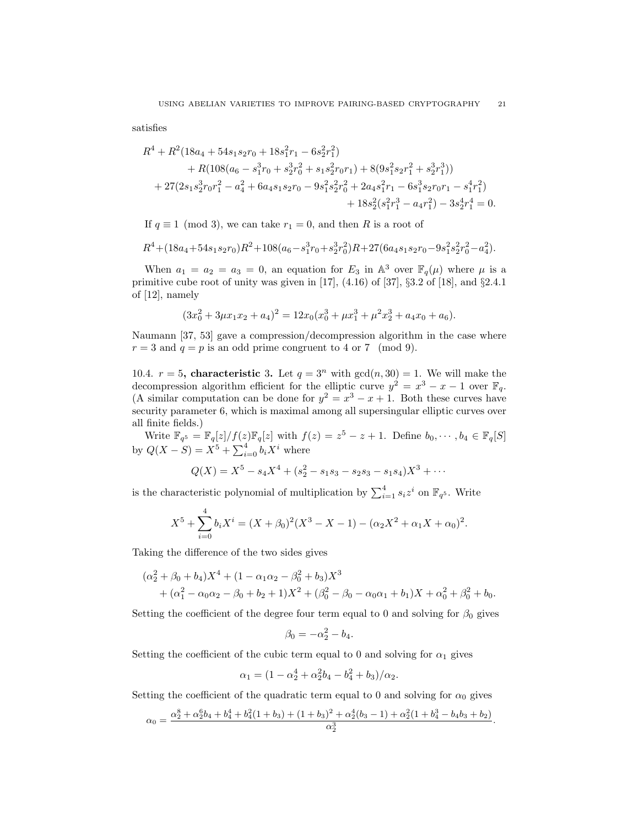satisfies

$$
R^{4} + R^{2}(18a_{4} + 54s_{1}s_{2}r_{0} + 18s_{1}^{2}r_{1} - 6s_{2}^{2}r_{1}^{2})
$$
  
+  $R(108(a_{6} - s_{1}^{3}r_{0} + s_{2}^{3}r_{0}^{2} + s_{1}s_{2}^{2}r_{0}r_{1}) + 8(9s_{1}^{2}s_{2}r_{1}^{2} + s_{2}^{3}r_{1}^{3}))$   
+  $27(2s_{1}s_{2}^{3}r_{0}r_{1}^{2} - a_{4}^{2} + 6a_{4}s_{1}s_{2}r_{0} - 9s_{1}^{2}s_{2}^{2}r_{0}^{2} + 2a_{4}s_{1}^{2}r_{1} - 6s_{1}^{3}s_{2}r_{0}r_{1} - s_{1}^{4}r_{1}^{2})$   
+  $18s_{2}^{2}(s_{1}^{2}r_{1}^{3} - a_{4}r_{1}^{2}) - 3s_{2}^{4}r_{1}^{4} = 0.$ 

If  $q \equiv 1 \pmod{3}$ , we can take  $r_1 = 0$ , and then R is a root of

$$
R^4 + (18a_4 + 54s_1s_2r_0)R^2 + 108(a_6 - s_1^3r_0 + s_2^3r_0^2)R + 27(6a_4s_1s_2r_0 - 9s_1^2s_2^2r_0^2 - a_4^2).
$$

When  $a_1 = a_2 = a_3 = 0$ , an equation for  $E_3$  in  $\mathbb{A}^3$  over  $\mathbb{F}_q(\mu)$  where  $\mu$  is a primitive cube root of unity was given in [17],  $(4.16)$  of [37], §3.2 of [18], and §2.4.1 of [12], namely

$$
(3x02 + 3\mu x1x2 + a4)2 = 12x0(x03 + \mu x13 + \mu2x23 + a4x0 + a6).
$$

Naumann [37, 53] gave a compression/decompression algorithm in the case where  $r = 3$  and  $q = p$  is an odd prime congruent to 4 or 7 (mod 9).

10.4.  $r = 5$ , characteristic 3. Let  $q = 3^n$  with  $gcd(n, 30) = 1$ . We will make the decompression algorithm efficient for the elliptic curve  $y^2 = x^3 - x - 1$  over  $\mathbb{F}_q$ . (A similar computation can be done for  $y^2 = x^3 - x + 1$ . Both these curves have security parameter 6, which is maximal among all supersingular elliptic curves over all finite fields.)

Write  $\mathbb{F}_{q^5} = \mathbb{F}_{q}[z]/f(z)\mathbb{F}_{q}[z]$  with  $f(z) = z^5 - z + 1$ . Define  $b_0, \dots, b_4 \in \mathbb{F}_{q}[S]$ by  $Q(X - S) = X^5 + \sum_{i=0}^{4} b_i X^i$  where

$$
Q(X) = X^5 - s_4 X^4 + (s_2^2 - s_1 s_3 - s_2 s_3 - s_1 s_4) X^3 + \cdots
$$

is the characteristic polynomial of multiplication by  $\sum_{i=1}^{4} s_i z^i$  on  $\mathbb{F}_{q^5}$ . Write

$$
X^{5} + \sum_{i=0}^{4} b_{i} X^{i} = (X + \beta_{0})^{2} (X^{3} - X - 1) - (\alpha_{2} X^{2} + \alpha_{1} X + \alpha_{0})^{2}.
$$

Taking the difference of the two sides gives

$$
(\alpha_2^2 + \beta_0 + b_4)X^4 + (1 - \alpha_1\alpha_2 - \beta_0^2 + b_3)X^3
$$
  
+ 
$$
(\alpha_1^2 - \alpha_0\alpha_2 - \beta_0 + b_2 + 1)X^2 + (\beta_0^2 - \beta_0 - \alpha_0\alpha_1 + b_1)X + \alpha_0^2 + \beta_0^2 + b_0.
$$

Setting the coefficient of the degree four term equal to 0 and solving for  $\beta_0$  gives

$$
\beta_0 = -\alpha_2^2 - b_4.
$$

Setting the coefficient of the cubic term equal to 0 and solving for  $\alpha_1$  gives

$$
\alpha_1 = (1 - \alpha_2^4 + \alpha_2^2 b_4 - b_4^2 + b_3)/\alpha_2.
$$

Setting the coefficient of the quadratic term equal to 0 and solving for  $\alpha_0$  gives

$$
\alpha_0 = \frac{\alpha_2^8 + \alpha_2^6 b_4 + b_4^4 + b_4^2 (1 + b_3) + (1 + b_3)^2 + \alpha_2^4 (b_3 - 1) + \alpha_2^2 (1 + b_4^3 - b_4 b_3 + b_2)}{\alpha_2^3}
$$

.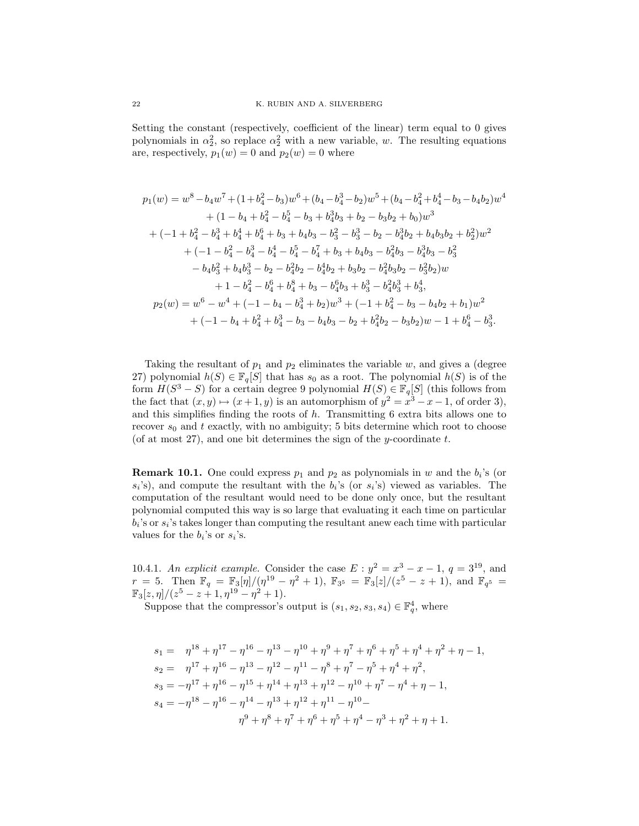Setting the constant (respectively, coefficient of the linear) term equal to 0 gives polynomials in  $\alpha_2^2$ , so replace  $\alpha_2^2$  with a new variable, w. The resulting equations are, respectively,  $p_1(w) = 0$  and  $p_2(w) = 0$  where

$$
p_1(w) = w^8 - b_4w^7 + (1 + b_4^2 - b_3)w^6 + (b_4 - b_4^3 - b_2)w^5 + (b_4 - b_4^2 + b_4^4 - b_3 - b_4b_2)w^4
$$
  
+ 
$$
(1 - b_4 + b_4^2 - b_4^5 - b_3 + b_4^3b_3 + b_2 - b_3b_2 + b_0)w^3
$$
  
+ 
$$
(-1 + b_4^2 - b_4^3 + b_4^4 + b_4^6 + b_3 + b_4b_3 - b_3^2 - b_3^3 - b_2 - b_4^3b_2 + b_4b_3b_2 + b_2^2)w^2
$$
  
+ 
$$
(-1 - b_4^2 - b_4^3 - b_4^4 - b_4^5 - b_4^7 + b_3 + b_4b_3 - b_4^2b_3 - b_4^3b_3 - b_3^2
$$
  
- 
$$
b_4b_3^2 + b_4b_3^3 - b_2 - b_4^2b_2 - b_4^4b_2 + b_3b_2 - b_4^2b_3b_2 - b_3^2b_2)w
$$
  
+ 
$$
1 - b_4^2 - b_4^6 + b_4^8 + b_3 - b_4^6b_3 + b_3^3 - b_4^2b_3^3 + b_3^4,
$$
  

$$
p_2(w) = w^6 - w^4 + (-1 - b_4 - b_4^3 + b_2)w^3 + (-1 + b_4^2 - b_3 - b_4b_2 + b_1)w^2
$$
  
+ 
$$
(-1 - b_4 + b_4^2 + b_4^3 - b_3 - b_4b_3 - b_2 + b_4^2b_2 - b_3b_2)w - 1 + b_4^6 - b_3^3.
$$

Taking the resultant of  $p_1$  and  $p_2$  eliminates the variable w, and gives a (degree 27) polynomial  $h(S) \in \mathbb{F}_q[S]$  that has  $s_0$  as a root. The polynomial  $h(S)$  is of the form  $H(S^3 - S)$  for a certain degree 9 polynomial  $H(S) \in \mathbb{F}_q[S]$  (this follows from the fact that  $(x, y) \mapsto (x + 1, y)$  is an automorphism of  $y^2 = x^3 - x - 1$ , of order 3), and this simplifies finding the roots of  $h$ . Transmitting  $6$  extra bits allows one to recover  $s_0$  and t exactly, with no ambiguity; 5 bits determine which root to choose (of at most 27), and one bit determines the sign of the y-coordinate  $t$ .

**Remark 10.1.** One could express  $p_1$  and  $p_2$  as polynomials in w and the  $b_i$ 's (or  $s_i$ 's), and compute the resultant with the  $b_i$ 's (or  $s_i$ 's) viewed as variables. The computation of the resultant would need to be done only once, but the resultant polynomial computed this way is so large that evaluating it each time on particular  $b_i$ 's or  $s_i$ 's takes longer than computing the resultant anew each time with particular values for the  $b_i$ 's or  $s_i$ 's.

10.4.1. An explicit example. Consider the case  $E : y^2 = x^3 - x - 1$ ,  $q = 3^{19}$ , and  $r = 5$ . Then  $\mathbb{F}_q = \mathbb{F}_3[\eta]/(\eta^{19} - \eta^2 + 1)$ ,  $\mathbb{F}_{3^5} = \mathbb{F}_3[z]/(z^5 - z + 1)$ , and  $\mathbb{F}_{q^5} =$  $\mathbb{F}_3[z,\eta]/(z^5-z+1,\eta^{19}-\eta^2+1).$ 

Suppose that the compressor's output is  $(s_1, s_2, s_3, s_4) \in \mathbb{F}_q^4$ , where

$$
s_1 = \eta^{18} + \eta^{17} - \eta^{16} - \eta^{13} - \eta^{10} + \eta^9 + \eta^7 + \eta^6 + \eta^5 + \eta^4 + \eta^2 + \eta - 1,
$$
  
\n
$$
s_2 = \eta^{17} + \eta^{16} - \eta^{13} - \eta^{12} - \eta^{11} - \eta^8 + \eta^7 - \eta^5 + \eta^4 + \eta^2,
$$
  
\n
$$
s_3 = -\eta^{17} + \eta^{16} - \eta^{15} + \eta^{14} + \eta^{13} + \eta^{12} - \eta^{10} + \eta^7 - \eta^4 + \eta - 1,
$$
  
\n
$$
s_4 = -\eta^{18} - \eta^{16} - \eta^{14} - \eta^{13} + \eta^{12} + \eta^{11} - \eta^{10} -
$$
  
\n
$$
\eta^9 + \eta^8 + \eta^7 + \eta^6 + \eta^5 + \eta^4 - \eta^3 + \eta^2 + \eta + 1.
$$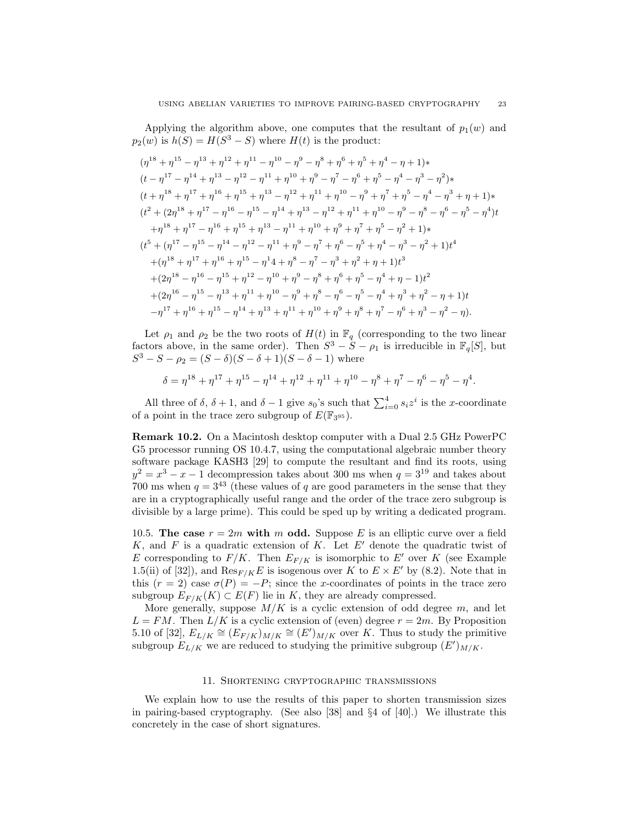Applying the algorithm above, one computes that the resultant of  $p_1(w)$  and  $p_2(w)$  is  $h(S) = H(S^3 - S)$  where  $H(t)$  is the product:

$$
(\eta^{18} + \eta^{15} - \eta^{13} + \eta^{12} + \eta^{11} - \eta^{10} - \eta^{9} - \eta^{8} + \eta^{6} + \eta^{5} + \eta^{4} - \eta + 1)*
$$
  
\n
$$
(t - \eta^{17} - \eta^{14} + \eta^{13} - \eta^{12} - \eta^{11} + \eta^{10} + \eta^{9} - \eta^{7} - \eta^{6} + \eta^{5} - \eta^{4} - \eta^{3} - \eta^{2})*
$$
  
\n
$$
(t + \eta^{18} + \eta^{17} + \eta^{16} + \eta^{15} + \eta^{13} - \eta^{12} + \eta^{11} + \eta^{10} - \eta^{9} + \eta^{7} + \eta^{5} - \eta^{4} - \eta^{3} + \eta + 1)*
$$
  
\n
$$
(t^{2} + (2\eta^{18} + \eta^{17} - \eta^{16} - \eta^{15} - \eta^{14} + \eta^{13} - \eta^{12} + \eta^{11} + \eta^{10} - \eta^{9} - \eta^{8} - \eta^{6} - \eta^{5} - \eta^{4})t
$$
  
\n
$$
+ \eta^{18} + \eta^{17} - \eta^{16} + \eta^{15} + \eta^{13} - \eta^{11} + \eta^{10} + \eta^{9} + \eta^{7} + \eta^{5} - \eta^{2} + 1)*
$$
  
\n
$$
(t^{5} + (\eta^{17} - \eta^{15} - \eta^{14} - \eta^{12} - \eta^{11} + \eta^{9} - \eta^{7} + \eta^{6} - \eta^{5} + \eta^{4} - \eta^{3} - \eta^{2} + 1)t^{4}
$$
  
\n
$$
+ (\eta^{18} + \eta^{17} + \eta^{16} + \eta^{15} - \eta^{14} + \eta^{8} - \eta^{7} - \eta^{3} + \eta^{2} + \eta + 1)t^{3}
$$
  
\n
$$
+ (2\eta^{18} - \eta^{16} - \eta^{15} + \eta^{12} - \eta^{10} + \eta^{9} - \eta^{8} + \eta^{6} + \eta^{5} - \eta^{4} + \eta - 1)t^{2}
$$
  
\n $$ 

Let  $\rho_1$  and  $\rho_2$  be the two roots of  $H(t)$  in  $\mathbb{F}_q$  (corresponding to the two linear factors above, in the same order). Then  $S^3 - S - \rho_1$  is irreducible in  $\mathbb{F}_q[S]$ , but  $S^3 - S - \rho_2 = (S - \delta)(S - \delta + 1)(S - \delta - 1)$  where

$$
\delta = \eta^{18} + \eta^{17} + \eta^{15} - \eta^{14} + \eta^{12} + \eta^{11} + \eta^{10} - \eta^{8} + \eta^{7} - \eta^{6} - \eta^{5} - \eta^{4}.
$$

All three of  $\delta$ ,  $\delta + 1$ , and  $\delta - 1$  give  $s_0$ 's such that  $\sum_{i=0}^{4} s_i z^i$  is the *x*-coordinate of a point in the trace zero subgroup of  $E(\mathbb{F}_{3^{95}})$ .

Remark 10.2. On a Macintosh desktop computer with a Dual 2.5 GHz PowerPC G5 processor running OS 10.4.7, using the computational algebraic number theory software package KASH3 [29] to compute the resultant and find its roots, using  $y^2 = x^3 - x - 1$  decompression takes about 300 ms when  $q = 3^{19}$  and takes about 700 ms when  $q = 3^{43}$  (these values of q are good parameters in the sense that they are in a cryptographically useful range and the order of the trace zero subgroup is divisible by a large prime). This could be sped up by writing a dedicated program.

10.5. The case  $r = 2m$  with m odd. Suppose E is an elliptic curve over a field K, and F is a quadratic extension of K. Let  $E'$  denote the quadratic twist of E corresponding to  $F/K$ . Then  $E_{F/K}$  is isomorphic to E' over K (see Example 1.5(ii) of [32]), and  $\text{Res}_{F/K}E$  is isogenous over K to  $E \times E'$  by (8.2). Note that in this  $(r = 2)$  case  $\sigma(P) = -P$ ; since the x-coordinates of points in the trace zero subgroup  $E_{F/K}(K) \subset E(F)$  lie in K, they are already compressed.

More generally, suppose  $M/K$  is a cyclic extension of odd degree m, and let  $L = FM$ . Then  $L/K$  is a cyclic extension of (even) degree  $r = 2m$ . By Proposition 5.10 of [32],  $E_{L/K} \cong (E_{F/K})_{M/K} \cong (E')_{M/K}$  over K. Thus to study the primitive subgroup  $E_{L/K}$  we are reduced to studying the primitive subgroup  $(E')_{M/K}$ .

# 11. Shortening cryptographic transmissions

We explain how to use the results of this paper to shorten transmission sizes in pairing-based cryptography. (See also [38] and §4 of [40].) We illustrate this concretely in the case of short signatures.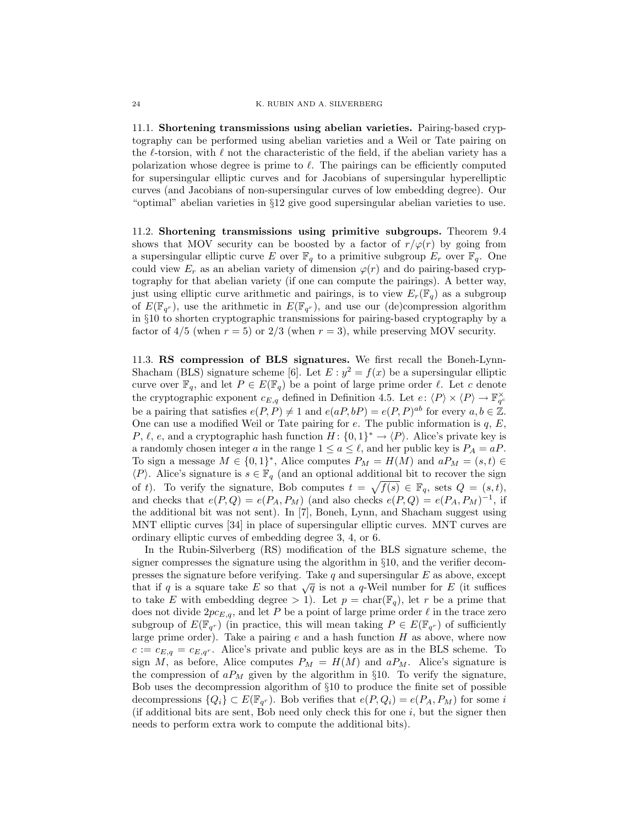11.1. Shortening transmissions using abelian varieties. Pairing-based cryptography can be performed using abelian varieties and a Weil or Tate pairing on the  $\ell$ -torsion, with  $\ell$  not the characteristic of the field, if the abelian variety has a polarization whose degree is prime to  $\ell$ . The pairings can be efficiently computed for supersingular elliptic curves and for Jacobians of supersingular hyperelliptic curves (and Jacobians of non-supersingular curves of low embedding degree). Our "optimal" abelian varieties in §12 give good supersingular abelian varieties to use.

11.2. Shortening transmissions using primitive subgroups. Theorem 9.4 shows that MOV security can be boosted by a factor of  $r/\varphi(r)$  by going from a supersingular elliptic curve E over  $\mathbb{F}_q$  to a primitive subgroup  $E_r$  over  $\mathbb{F}_q$ . One could view  $E_r$  as an abelian variety of dimension  $\varphi(r)$  and do pairing-based cryptography for that abelian variety (if one can compute the pairings). A better way, just using elliptic curve arithmetic and pairings, is to view  $E_r(\mathbb{F}_q)$  as a subgroup of  $E(\mathbb{F}_{q^r})$ , use the arithmetic in  $E(\mathbb{F}_{q^r})$ , and use our (de)compression algorithm in §10 to shorten cryptographic transmissions for pairing-based cryptography by a factor of  $4/5$  (when  $r = 5$ ) or  $2/3$  (when  $r = 3$ ), while preserving MOV security.

11.3. RS compression of BLS signatures. We first recall the Boneh-Lynn-Shacham (BLS) signature scheme [6]. Let  $E: y^2 = f(x)$  be a supersingular elliptic curve over  $\mathbb{F}_q$ , and let  $P \in E(\mathbb{F}_q)$  be a point of large prime order  $\ell$ . Let c denote the cryptographic exponent  $c_{E,q}$  defined in Definition 4.5. Let  $e: \langle P \rangle \times \langle P \rangle \to \mathbb{F}_{q^c}^{\times}$ be a pairing that satisfies  $e(P, P) \neq 1$  and  $e(aP, bP) = e(P, P)^{ab}$  for every  $a, b \in \mathbb{Z}$ . One can use a modified Weil or Tate pairing for  $e$ . The public information is  $q$ ,  $E$ , P,  $\ell$ , e, and a cryptographic hash function  $H : \{0,1\}^* \to \langle P \rangle$ . Alice's private key is a randomly chosen integer a in the range  $1 \le a \le \ell$ , and her public key is  $P_A = aP$ . To sign a message  $M \in \{0,1\}^*$ , Alice computes  $P_M = H(M)$  and  $aP_M = (s,t) \in$  $\langle P \rangle$ . Alice's signature is  $s \in \mathbb{F}_q$  (and an optional additional bit to recover the sign of t). To verify the signature, Bob computes  $t = \sqrt{f(s)} \in \mathbb{F}_q$ , sets  $Q = (s, t)$ , and checks that  $e(P,Q) = e(P_A, P_M)$  (and also checks  $e(P,Q) = e(P_A, P_M)^{-1}$ , if the additional bit was not sent). In [7], Boneh, Lynn, and Shacham suggest using MNT elliptic curves [34] in place of supersingular elliptic curves. MNT curves are ordinary elliptic curves of embedding degree 3, 4, or 6.

In the Rubin-Silverberg (RS) modification of the BLS signature scheme, the signer compresses the signature using the algorithm in §10, and the verifier decompresses the signature before verifying. Take q and supersingular  $E$  as above, except that if q is a square take E so that  $\sqrt{q}$  is not a q-Weil number for E (it suffices to take E with embedding degree  $> 1$ ). Let  $p = \text{char}(\mathbb{F}_q)$ , let r be a prime that does not divide  $2pc_{E,q}$ , and let P be a point of large prime order  $\ell$  in the trace zero subgroup of  $E(\mathbb{F}_{q^r})$  (in practice, this will mean taking  $P \in E(\mathbb{F}_{q^r})$  of sufficiently large prime order). Take a pairing  $e$  and a hash function  $H$  as above, where now  $c := c_{E,q} = c_{E,q}$ . Alice's private and public keys are as in the BLS scheme. To sign M, as before, Alice computes  $P_M = H(M)$  and  $aP_M$ . Alice's signature is the compression of  $aP_M$  given by the algorithm in §10. To verify the signature, Bob uses the decompression algorithm of §10 to produce the finite set of possible decompressions  $\{Q_i\} \subset E(\mathbb{F}_{q^r})$ . Bob verifies that  $e(P, Q_i) = e(P_A, P_M)$  for some i (if additional bits are sent, Bob need only check this for one  $i$ , but the signer then needs to perform extra work to compute the additional bits).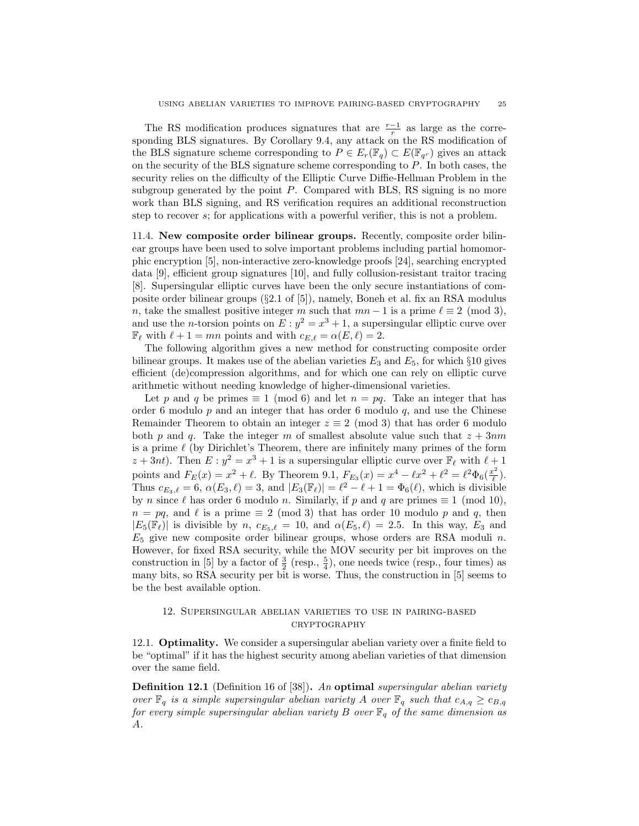The RS modification produces signatures that are  $\frac{r-1}{r}$  as large as the corresponding BLS signatures. By Corollary 9.4, any attack on the RS modification of the BLS signature scheme corresponding to  $P \in E_r(\mathbb{F}_q) \subset E(\mathbb{F}_{q^r})$  gives an attack on the security of the BLS signature scheme corresponding to  $P$ . In both cases, the security relies on the difficulty of the Elliptic Curve Diffie-Hellman Problem in the subgroup generated by the point P. Compared with BLS, RS signing is no more work than BLS signing, and RS verification requires an additional reconstruction step to recover s; for applications with a powerful verifier, this is not a problem.

11.4. New composite order bilinear groups. Recently, composite order bilinear groups have been used to solve important problems including partial homomorphic encryption [5], non-interactive zero-knowledge proofs [24], searching encrypted data [9], efficient group signatures [10], and fully collusion-resistant traitor tracing [8]. Supersingular elliptic curves have been the only secure instantiations of composite order bilinear groups (§2.1 of [5]), namely, Boneh et al. fix an RSA modulus n, take the smallest positive integer m such that  $mn - 1$  is a prime  $\ell \equiv 2 \pmod{3}$ , and use the *n*-torsion points on  $E: y^2 = x^3 + 1$ , a supersingular elliptic curve over  $\mathbb{F}_{\ell}$  with  $\ell + 1 = mn$  points and with  $c_{E,\ell} = \alpha(E, \ell) = 2$ .

The following algorithm gives a new method for constructing composite order bilinear groups. It makes use of the abelian varieties  $E_3$  and  $E_5$ , for which §10 gives efficient (de)compression algorithms, and for which one can rely on elliptic curve arithmetic without needing knowledge of higher-dimensional varieties.

Let p and q be primes  $\equiv 1 \pmod{6}$  and let  $n = pq$ . Take an integer that has order 6 modulo  $p$  and an integer that has order 6 modulo  $q$ , and use the Chinese Remainder Theorem to obtain an integer  $z \equiv 2 \pmod{3}$  that has order 6 modulo both p and q. Take the integer m of smallest absolute value such that  $z + 3nm$ is a prime  $\ell$  (by Dirichlet's Theorem, there are infinitely many primes of the form  $z + 3nt$ ). Then  $E : y^2 = x^3 + 1$  is a supersingular elliptic curve over  $\mathbb{F}_\ell$  with  $\ell + 1$ points and  $F_E(x) = x^2 + \ell$ . By Theorem 9.1,  $F_{E_3}(x) = x^4 - \ell x^2 + \ell^2 = \ell^2 \Phi_6(\frac{x^2}{\ell})$  $(\frac{\varepsilon^2}{\ell}).$ Thus  $c_{E_3,\ell} = 6$ ,  $\alpha(E_3, \ell) = 3$ , and  $|E_3(\mathbb{F}_\ell)| = \ell^2 - \ell + 1 = \Phi_6(\ell)$ , which is divisible by n since  $\ell$  has order 6 modulo n. Similarly, if p and q are primes  $\equiv 1 \pmod{10}$ ,  $n = pq$ , and  $\ell$  is a prime  $\equiv 2 \pmod{3}$  that has order 10 modulo p and q, then  $|E_5(\mathbb{F}_\ell)|$  is divisible by n,  $c_{E_5,\ell} = 10$ , and  $\alpha(E_5, \ell) = 2.5$ . In this way,  $E_3$  and  $E_5$  give new composite order bilinear groups, whose orders are RSA moduli n. However, for fixed RSA security, while the MOV security per bit improves on the construction in [5] by a factor of  $\frac{3}{2}$  (resp.,  $\frac{5}{4}$ ), one needs twice (resp., four times) as many bits, so RSA security per bit is worse. Thus, the construction in [5] seems to be the best available option.

## 12. Supersingular abelian varieties to use in pairing-based CRYPTOGRAPHY

12.1. Optimality. We consider a supersingular abelian variety over a finite field to be "optimal" if it has the highest security among abelian varieties of that dimension over the same field.

**Definition 12.1** (Definition 16 of [38]). An optimal supersingular abelian variety over  $\mathbb{F}_q$  is a simple supersingular abelian variety A over  $\mathbb{F}_q$  such that  $c_{A,q} \geq c_{B,q}$ for every simple supersingular abelian variety B over  $\mathbb{F}_q$  of the same dimension as A.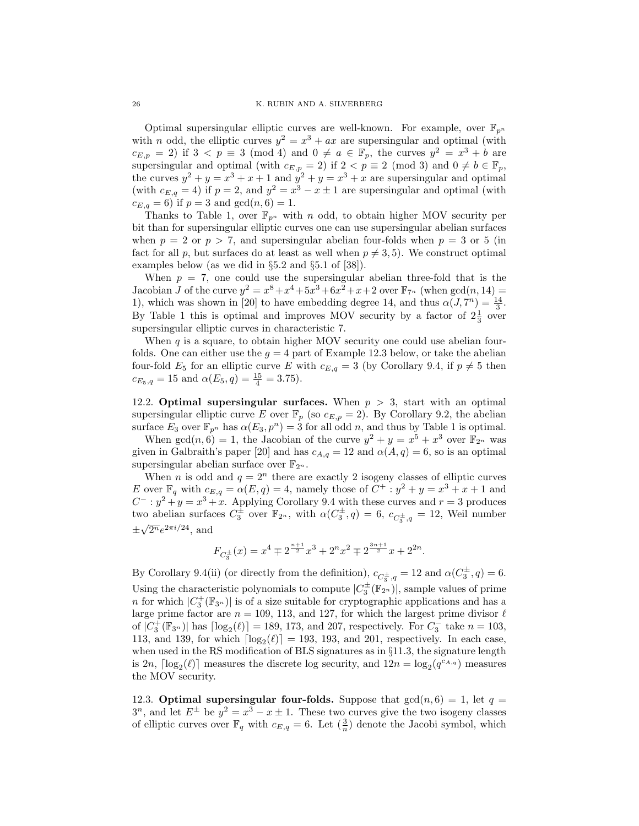Optimal supersingular elliptic curves are well-known. For example, over  $\mathbb{F}_{p^n}$ with n odd, the elliptic curves  $y^2 = x^3 + ax$  are supersingular and optimal (with  $c_{E,p} = 2$ ) if  $3 < p \equiv 3 \pmod{4}$  and  $0 \neq a \in \mathbb{F}_p$ , the curves  $y^2 = x^3 + b$  are supersingular and optimal (with  $c_{E,p} = 2$ ) if  $2 < p \equiv 2 \pmod{3}$  and  $0 \neq b \in \mathbb{F}_p$ , the curves  $y^2 + y = x^3 + x + 1$  and  $y^2 + y = x^3 + x$  are supersingular and optimal (with  $c_{E,q} = 4$ ) if  $p = 2$ , and  $y^2 = x^3 - x \pm 1$  are supersingular and optimal (with  $c_{E,q} = 6$ ) if  $p = 3$  and  $gcd(n, 6) = 1$ .

Thanks to Table 1, over  $\mathbb{F}_{p^n}$  with n odd, to obtain higher MOV security per bit than for supersingular elliptic curves one can use supersingular abelian surfaces when  $p = 2$  or  $p > 7$ , and supersingular abelian four-folds when  $p = 3$  or 5 (in fact for all p, but surfaces do at least as well when  $p \neq 3, 5$ ). We construct optimal examples below (as we did in §5.2 and §5.1 of [38]).

When  $p = 7$ , one could use the supersingular abelian three-fold that is the Jacobian J of the curve  $y^2 = x^8 + x^4 + 5x^3 + 6x^2 + x + 2$  over  $\mathbb{F}_{7^n}$  (when  $gcd(n, 14) =$ 1), which was shown in [20] to have embedding degree 14, and thus  $\alpha(J, 7^n) = \frac{14}{3}$ . By Table 1 this is optimal and improves MOV security by a factor of  $2\frac{1}{3}$  over supersingular elliptic curves in characteristic 7.

When  $q$  is a square, to obtain higher MOV security one could use abelian fourfolds. One can either use the  $g = 4$  part of Example 12.3 below, or take the abelian four-fold  $E_5$  for an elliptic curve E with  $c_{E,q} = 3$  (by Corollary 9.4, if  $p \neq 5$  then  $c_{E_5,q} = 15$  and  $\alpha(E_5,q) = \frac{15}{4} = 3.75$ .

12.2. Optimal supersingular surfaces. When  $p > 3$ , start with an optimal supersingular elliptic curve E over  $\mathbb{F}_p$  (so  $c_{E,p} = 2$ ). By Corollary 9.2, the abelian surface  $E_3$  over  $\mathbb{F}_{p^n}$  has  $\alpha(E_3, p^n) = 3$  for all odd n, and thus by Table 1 is optimal.

When  $gcd(n, 6) = 1$ , the Jacobian of the curve  $y^2 + y = x^5 + x^3$  over  $\mathbb{F}_{2^n}$  was given in Galbraith's paper [20] and has  $c_{A,q} = 12$  and  $\alpha(A,q) = 6$ , so is an optimal supersingular abelian surface over  $\mathbb{F}_{2^n}$ .

When *n* is odd and  $q = 2^n$  there are exactly 2 isogeny classes of elliptic curves E over  $\mathbb{F}_q$  with  $c_{E,q} = \alpha(E,q) = 4$ , namely those of  $C^+ : y^2 + y = x^3 + x + 1$  and  $C^-$ :  $y^2 + y = x^3 + x$ . Applying Corollary 9.4 with these curves and  $r = 3$  produces two abelian surfaces  $C_3^{\pm}$  over  $\mathbb{F}_{2^n}$ , with  $\alpha(C_3^{\pm}, q) = 6$ ,  $c_{C_3^{\pm}, q} = 12$ , Weil number  $\pm\sqrt{2^n}e^{2\pi i/24}$ , and

$$
F_{C_3^{\pm}}(x) = x^4 \mp 2^{\frac{n+1}{2}} x^3 + 2^n x^2 \mp 2^{\frac{3n+1}{2}} x + 2^{2n}.
$$

By Corollary 9.4(ii) (or directly from the definition),  $c_{C^{\pm}_{3},q} = 12$  and  $\alpha(C^{\pm}_{3},q) = 6$ . Using the characteristic polynomials to compute  $|C_3^{\pm}(\mathbb{F}_{2^n})|$ , sample values of prime n for which  $|C_3^+(\mathbb{F}_{3^n})|$  is of a size suitable for cryptographic applications and has a large prime factor are  $n = 109, 113,$  and 127, for which the largest prime divisor  $\ell$ of  $|C_3^{\dagger}(\mathbb{F}_{3^n})|$  has  $\lceil \log_2(\ell) \rceil = 189, 173, \text{ and } 207, \text{ respectively. For } C_3^-$  take  $n = 103,$ 113, and 139, for which  $\lceil \log_2(\ell) \rceil = 193$ , 193, and 201, respectively. In each case, when used in the RS modification of BLS signatures as in §11.3, the signature length is  $2n$ ,  $\lceil \log_2(\ell) \rceil$  measures the discrete log security, and  $12n = \log_2(q^{c_{A,q}})$  measures the MOV security.

12.3. Optimal supersingular four-folds. Suppose that  $gcd(n, 6) = 1$ , let  $q =$  $3^n$ , and let  $E^{\pm}$  be  $y^2 = x^3 - x \pm 1$ . These two curves give the two isogeny classes of elliptic curves over  $\mathbb{F}_q$  with  $c_{E,q} = 6$ . Let  $(\frac{3}{n})$  denote the Jacobi symbol, which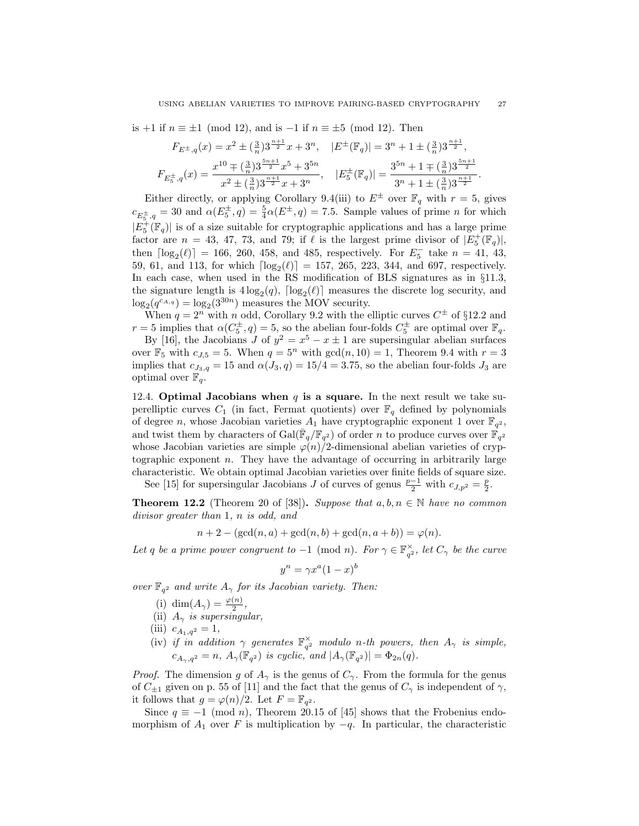is +1 if  $n \equiv \pm 1 \pmod{12}$ , and is -1 if  $n \equiv \pm 5 \pmod{12}$ . Then

$$
F_{E^{\pm},q}(x) = x^2 \pm \left(\frac{3}{n}\right)3^{\frac{n+1}{2}}x + 3^n, \quad |E^{\pm}(\mathbb{F}_q)| = 3^n + 1 \pm \left(\frac{3}{n}\right)3^{\frac{n+1}{2}},
$$
  

$$
F_{E_5^{\pm},q}(x) = \frac{x^{10} \mp \left(\frac{3}{n}\right)3^{\frac{5n+1}{2}}x^5 + 3^{5n}}{x^2 \pm \left(\frac{3}{n}\right)3^{\frac{n+1}{2}}x + 3^n}, \quad |E_5^{\pm}(\mathbb{F}_q)| = \frac{3^{5n} + 1 \mp \left(\frac{3}{n}\right)3^{\frac{5n+1}{2}}}{3^n + 1 \pm \left(\frac{3}{n}\right)3^{\frac{n+1}{2}}}.
$$

Either directly, or applying Corollary 9.4(iii) to  $E^{\pm}$  over  $\mathbb{F}_q$  with  $r=5$ , gives  $c_{E_5^{\pm},q} = 30$  and  $\alpha(E_5^{\pm},q) = \frac{5}{4}\alpha(E^{\pm},q) = 7.5$ . Sample values of prime *n* for which  $|E_5^+(\mathbb{F}_q)|$  is of a size suitable for cryptographic applications and has a large prime factor are  $n = 43, 47, 73,$  and 79; if  $\ell$  is the largest prime divisor of  $|E_5^+(\mathbb{F}_q)|$ , then  $\lceil \log_2(\ell) \rceil = 166, 260, 458, \text{ and } 485, \text{ respectively. For } E_5^- \text{ take } n = 41, 43,$ 59, 61, and 113, for which  $\lceil \log_2(\ell) \rceil = 157, 265, 223, 344,$  and 697, respectively. In each case, when used in the RS modification of BLS signatures as in §11.3, the signature length is  $4\log_2(q)$ ,  $\lceil \log_2(\ell) \rceil$  measures the discrete log security, and  $\log_2(q^{c_{A,q}}) = \log_2(3^{30n})$  measures the MOV security.

When  $q = 2^n$  with n odd, Corollary 9.2 with the elliptic curves  $C^{\pm}$  of §12.2 and  $r=5$  implies that  $\alpha(C_5^{\pm}, q) = 5$ , so the abelian four-folds  $C_5^{\pm}$  are optimal over  $\mathbb{F}_q$ .

By [16], the Jacobians J of  $y^2 = x^5 - x \pm 1$  are supersingular abelian surfaces over  $\mathbb{F}_5$  with  $c_{J,5} = 5$ . When  $q = 5^n$  with  $gcd(n, 10) = 1$ , Theorem 9.4 with  $r = 3$ implies that  $c_{J_3,q} = 15$  and  $\alpha(J_3,q) = 15/4 = 3.75$ , so the abelian four-folds  $J_3$  are optimal over  $\mathbb{F}_q$ .

12.4. Optimal Jacobians when  $q$  is a square. In the next result we take superelliptic curves  $C_1$  (in fact, Fermat quotients) over  $\mathbb{F}_q$  defined by polynomials of degree n, whose Jacobian varieties  $A_1$  have cryptographic exponent 1 over  $\mathbb{F}_{q^2}$ , and twist them by characters of  $Gal(\bar{F}_q/\mathbb{F}_{q^2})$  of order n to produce curves over  $\mathbb{F}_{q^2}$ whose Jacobian varieties are simple  $\varphi(n)/2$ -dimensional abelian varieties of cryptographic exponent  $n$ . They have the advantage of occurring in arbitrarily large characteristic. We obtain optimal Jacobian varieties over finite fields of square size.

See [15] for supersingular Jacobians J of curves of genus  $\frac{p-1}{2}$  with  $c_{J,p^2} = \frac{p}{2}$ .

**Theorem 12.2** (Theorem 20 of [38]). Suppose that  $a, b, n \in \mathbb{N}$  have no common divisor greater than 1, n is odd, and

 $n + 2 - (\gcd(n, a) + \gcd(n, b) + \gcd(n, a + b)) = \varphi(n).$ 

Let q be a prime power congruent to  $-1 \pmod{n}$ . For  $\gamma \in \mathbb{F}_{q^2}^{\times}$ , let  $C_{\gamma}$  be the curve

$$
y^n = \gamma x^a (1 - x)^b
$$

over  $\mathbb{F}_{q^2}$  and write  $A_{\gamma}$  for its Jacobian variety. Then:

- (i) dim $(A_\gamma) = \frac{\varphi(n)}{2}$ ,
- (ii)  $A_{\gamma}$  is supersingular,
- (iii)  $c_{A_1,q^2} = 1$ ,
- (iv) if in addition  $\gamma$  generates  $\mathbb{F}_{q^2}^{\times}$  modulo n-th powers, then  $A_{\gamma}$  is simple,  $c_{A_{\gamma},q^2} = n, A_{\gamma}(\mathbb{F}_{q^2})$  is cyclic, and  $|A_{\gamma}(\mathbb{F}_{q^2})| = \Phi_{2n}(q)$ .

*Proof.* The dimension g of  $A_{\gamma}$  is the genus of  $C_{\gamma}$ . From the formula for the genus of  $C_{\pm 1}$  given on p. 55 of [11] and the fact that the genus of  $C_{\gamma}$  is independent of  $\gamma$ , it follows that  $g = \varphi(n)/2$ . Let  $F = \mathbb{F}_{q^2}$ .

Since  $q \equiv -1 \pmod{n}$ , Theorem 20.15 of [45] shows that the Frobenius endomorphism of  $A_1$  over F is multiplication by  $-q$ . In particular, the characteristic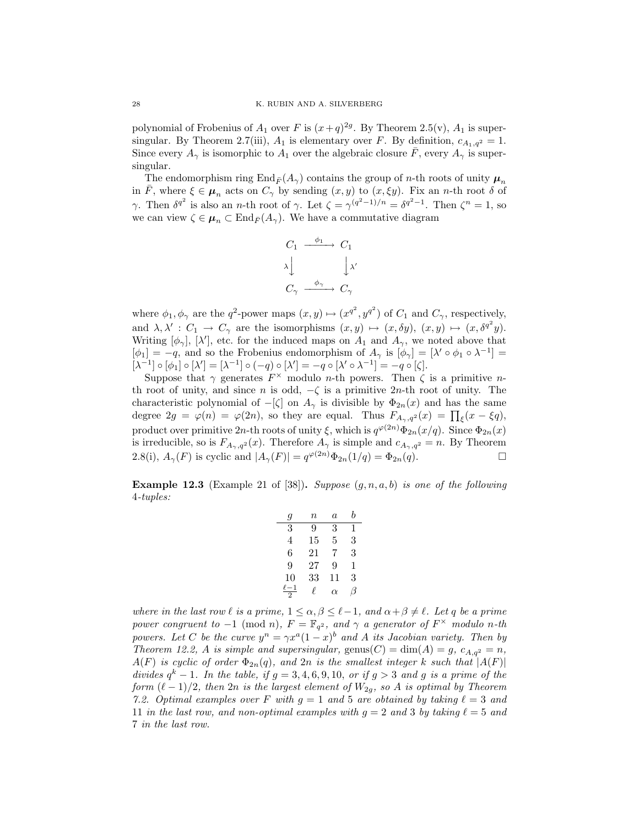polynomial of Frobenius of  $A_1$  over F is  $(x+q)^{2g}$ . By Theorem 2.5(v),  $A_1$  is supersingular. By Theorem 2.7(iii),  $A_1$  is elementary over F. By definition,  $c_{A_1,q^2} = 1$ . Since every  $A_{\gamma}$  is isomorphic to  $A_1$  over the algebraic closure  $\bar{F}$ , every  $A_{\gamma}$  is supersingular.

The endomorphism ring End<sub> $\bar{F}(A_{\gamma})$ </sub> contains the group of *n*-th roots of unity  $\mu_n$ in  $\bar{F}$ , where  $\xi \in \mu_n$  acts on  $C_\gamma$  by sending  $(x, y)$  to  $(x, \xi y)$ . Fix an n-th root  $\delta$  of γ. Then  $\delta^{q^2}$  is also an *n*-th root of γ. Let  $\zeta = \gamma^{(q^2-1)/n} = \delta^{q^2-1}$ . Then  $\zeta^n = 1$ , so we can view  $\zeta \in \mu_n \subset \text{End}_{\bar{F}}(A_\gamma)$ . We have a commutative diagram

$$
C_1 \xrightarrow{\phi_1} C_1
$$
  

$$
\lambda \downarrow \qquad \qquad \downarrow \lambda'
$$
  

$$
C_\gamma \xrightarrow{\phi_\gamma} C_\gamma
$$

where  $\phi_1, \phi_\gamma$  are the  $q^2$ -power maps  $(x, y) \mapsto (x^{q^2}, y^{q^2})$  of  $C_1$  and  $C_\gamma$ , respectively, and  $\lambda, \lambda': C_1 \to C_\gamma$  are the isomorphisms  $(x, y) \mapsto (x, \delta y), (x, y) \mapsto (x, {\delta^q}^2 y)$ . Writing  $[\phi_{\gamma}]$ ,  $[\lambda']$ , etc. for the induced maps on  $A_1$  and  $A_{\gamma}$ , we noted above that  $[\phi_1] = -q$ , and so the Frobenius endomorphism of  $A_\gamma$  is  $[\phi_\gamma] = [\lambda' \circ \phi_1 \circ \lambda^{-1}] =$  $[\lambda^{-1}] \circ [\phi_1] \circ [\lambda'] = [\lambda^{-1}] \circ (-q) \circ [\lambda'] = -q \circ [\lambda' \circ \lambda^{-1}] = -q \circ [\zeta].$ 

Suppose that  $\gamma$  generates  $F^{\times}$  modulo *n*-th powers. Then  $\zeta$  is a primitive *n*th root of unity, and since n is odd,  $-\zeta$  is a primitive 2n-th root of unity. The characteristic polynomial of  $-[\zeta]$  on  $A_{\gamma}$  is divisible by  $\Phi_{2n}(x)$  and has the same degree  $2g = \varphi(n) = \varphi(2n)$ , so they are equal. Thus  $F_{A_{\gamma},q^2}(x) = \prod_{\xi}(x - \xi q)$ , product over primitive 2n-th roots of unity  $\xi$ , which is  $q^{\varphi(2n)}\Phi_{2n}(x/q)$ . Since  $\Phi_{2n}(x)$ is irreducible, so is  $F_{A_{\gamma},q^2}(x)$ . Therefore  $A_{\gamma}$  is simple and  $c_{A_{\gamma},q^2}=n$ . By Theorem 2.8(i),  $A_{\gamma}(F)$  is cyclic and  $|A_{\gamma}(F)| = q^{\varphi(2n)}\Phi_{2n}(1/q) = \Phi_{2n}(q)$ .

**Example 12.3** (Example 21 of [38]). Suppose  $(g, n, a, b)$  is one of the following 4-tuples:

| g                              | $\it n$ | a.       | h |
|--------------------------------|---------|----------|---|
| 3                              | 9       | 3        | 1 |
| 4                              | 15      | 5        | 3 |
| 6                              | 21      | 7        | 3 |
| 9                              | 27      | 9        | 1 |
| 10                             | 33      | 11       | 3 |
| $\ell-1$<br>$\mathbf{\hat{2}}$ | f       | $\alpha$ | В |

where in the last row  $\ell$  is a prime,  $1 \leq \alpha, \beta \leq \ell - 1$ , and  $\alpha + \beta \neq \ell$ . Let q be a prime power congruent to  $-1 \pmod{n}$ ,  $F = \mathbb{F}_{q^2}$ , and  $\gamma$  a generator of  $F^{\times}$  modulo n-th powers. Let C be the curve  $y^n = \gamma x^a (1-x)^b$  and A its Jacobian variety. Then by Theorem 12.2, A is simple and supersingular, genus(C) = dim(A) = g,  $c_{A,q^2} = n$ ,  $A(F)$  is cyclic of order  $\Phi_{2n}(q)$ , and  $2n$  is the smallest integer k such that  $|A(F)|$ divides  $q^k - 1$ . In the table, if  $g = 3, 4, 6, 9, 10$ , or if  $g > 3$  and g is a prime of the form  $(\ell - 1)/2$ , then  $2n$  is the largest element of  $W_{2g}$ , so A is optimal by Theorem 7.2. Optimal examples over F with  $g = 1$  and 5 are obtained by taking  $\ell = 3$  and 11 in the last row, and non-optimal examples with  $g = 2$  and 3 by taking  $\ell = 5$  and 7 in the last row.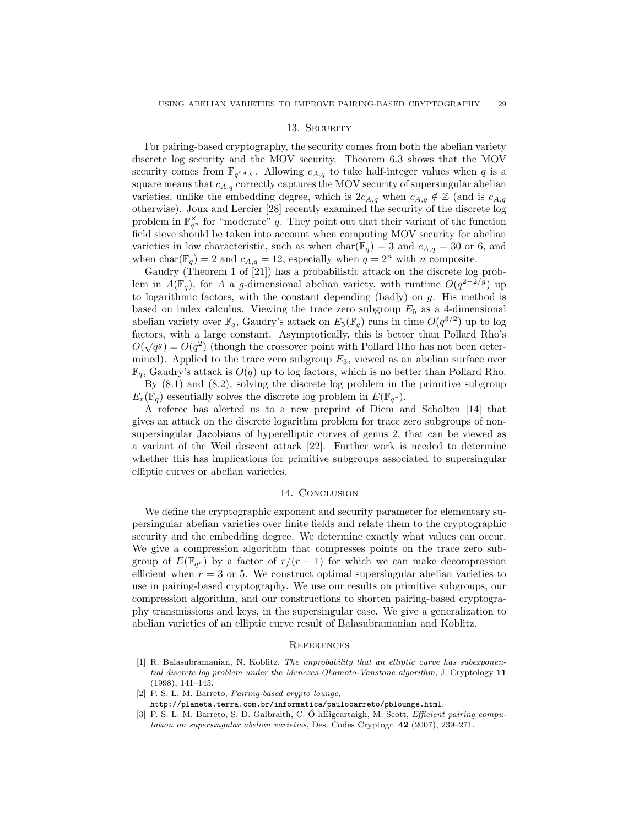## 13. SECURITY

For pairing-based cryptography, the security comes from both the abelian variety discrete log security and the MOV security. Theorem 6.3 shows that the MOV security comes from  $\mathbb{F}_{q^c A,q}$ . Allowing  $c_{A,q}$  to take half-integer values when q is a square means that  $c_{A,q}$  correctly captures the MOV security of supersingular abelian varieties, unlike the embedding degree, which is  $2c_{A,q}$  when  $c_{A,q} \notin \mathbb{Z}$  (and is  $c_{A,q}$ otherwise). Joux and Lercier [28] recently examined the security of the discrete log problem in  $\mathbb{F}_{q^n}^{\times}$  for "moderate" q. They point out that their variant of the function field sieve should be taken into account when computing MOV security for abelian varieties in low characteristic, such as when  $char(\mathbb{F}_q) = 3$  and  $c_{A,q} = 30$  or 6, and when  $char(\mathbb{F}_q) = 2$  and  $c_{A,q} = 12$ , especially when  $q = 2^n$  with n composite.

Gaudry (Theorem 1 of [21]) has a probabilistic attack on the discrete log problem in  $A(\mathbb{F}_q)$ , for A a g-dimensional abelian variety, with runtime  $O(q^{2-2/g})$  up to logarithmic factors, with the constant depending (badly) on  $g$ . His method is based on index calculus. Viewing the trace zero subgroup  $E_5$  as a 4-dimensional abelian variety over  $\mathbb{F}_q$ , Gaudry's attack on  $E_5(\mathbb{F}_q)$  runs in time  $O(q^{3/2})$  up to log factors, with a large constant. Asymptotically, this is better than Pollard Rho's  $O(\sqrt{q^g}) = O(q^2)$  (though the crossover point with Pollard Rho has not been determined). Applied to the trace zero subgroup  $E_3$ , viewed as an abelian surface over  $\mathbb{F}_q$ , Gaudry's attack is  $O(q)$  up to log factors, which is no better than Pollard Rho. By (8.1) and (8.2), solving the discrete log problem in the primitive subgroup  $E_r(\mathbb{F}_q)$  essentially solves the discrete log problem in  $E(\mathbb{F}_{q^r})$ .

A referee has alerted us to a new preprint of Diem and Scholten [14] that gives an attack on the discrete logarithm problem for trace zero subgroups of nonsupersingular Jacobians of hyperelliptic curves of genus 2, that can be viewed as a variant of the Weil descent attack [22]. Further work is needed to determine whether this has implications for primitive subgroups associated to supersingular elliptic curves or abelian varieties.

## 14. CONCLUSION

We define the cryptographic exponent and security parameter for elementary supersingular abelian varieties over finite fields and relate them to the cryptographic security and the embedding degree. We determine exactly what values can occur. We give a compression algorithm that compresses points on the trace zero subgroup of  $E(\mathbb{F}_{q^r})$  by a factor of  $r/(r-1)$  for which we can make decompression efficient when  $r = 3$  or 5. We construct optimal supersingular abelian varieties to use in pairing-based cryptography. We use our results on primitive subgroups, our compression algorithm, and our constructions to shorten pairing-based cryptography transmissions and keys, in the supersingular case. We give a generalization to abelian varieties of an elliptic curve result of Balasubramanian and Koblitz.

### **REFERENCES**

- [1] R. Balasubramanian, N. Koblitz, The improbability that an elliptic curve has subexponential discrete log problem under the Menezes-Okamoto-Vanstone algorithm, J. Cryptology 11 (1998), 141–145.
- [2] P. S. L. M. Barreto, Pairing-based crypto lounge,
- http://planeta.terra.com.br/informatica/paulobarreto/pblounge.html.
- [3] P. S. L. M. Barreto, S. D. Galbraith, C. Ó hÉigeartaigh, M. Scott, *Efficient pairing compu*tation on supersingular abelian varieties, Des. Codes Cryptogr. 42 (2007), 239–271.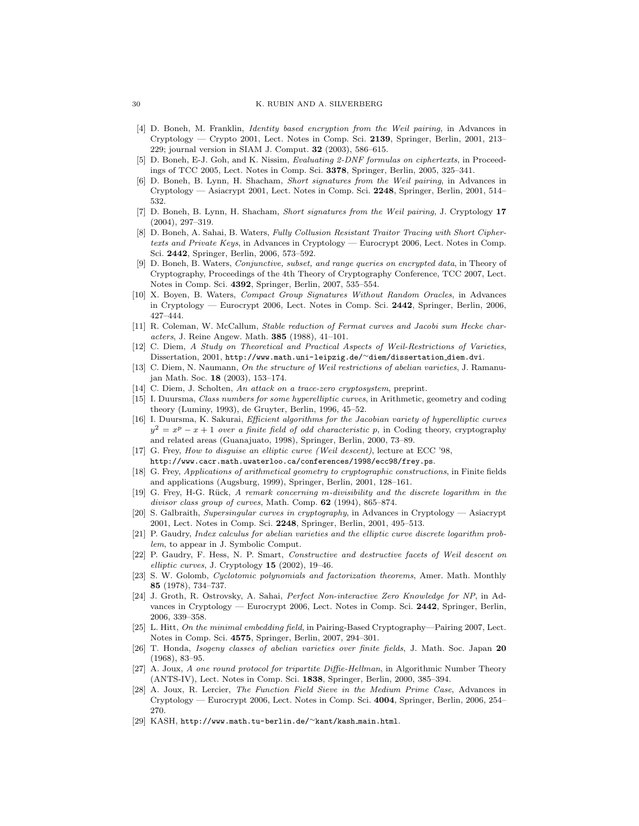- [4] D. Boneh, M. Franklin, Identity based encryption from the Weil pairing, in Advances in Cryptology — Crypto 2001, Lect. Notes in Comp. Sci. 2139, Springer, Berlin, 2001, 213– 229; journal version in SIAM J. Comput. 32 (2003), 586–615.
- [5] D. Boneh, E-J. Goh, and K. Nissim, Evaluating 2-DNF formulas on ciphertexts, in Proceedings of TCC 2005, Lect. Notes in Comp. Sci. 3378, Springer, Berlin, 2005, 325–341.
- [6] D. Boneh, B. Lynn, H. Shacham, Short signatures from the Weil pairing, in Advances in Cryptology — Asiacrypt 2001, Lect. Notes in Comp. Sci. 2248, Springer, Berlin, 2001, 514– 532.
- [7] D. Boneh, B. Lynn, H. Shacham, Short signatures from the Weil pairing, J. Cryptology 17 (2004), 297–319.
- [8] D. Boneh, A. Sahai, B. Waters, Fully Collusion Resistant Traitor Tracing with Short Ciphertexts and Private Keys, in Advances in Cryptology — Eurocrypt 2006, Lect. Notes in Comp. Sci. 2442, Springer, Berlin, 2006, 573–592.
- [9] D. Boneh, B. Waters, Conjunctive, subset, and range queries on encrypted data, in Theory of Cryptography, Proceedings of the 4th Theory of Cryptography Conference, TCC 2007, Lect. Notes in Comp. Sci. 4392, Springer, Berlin, 2007, 535–554.
- [10] X. Boyen, B. Waters, Compact Group Signatures Without Random Oracles, in Advances in Cryptology — Eurocrypt 2006, Lect. Notes in Comp. Sci. 2442, Springer, Berlin, 2006, 427–444.
- [11] R. Coleman, W. McCallum, Stable reduction of Fermat curves and Jacobi sum Hecke characters, J. Reine Angew. Math. 385 (1988), 41–101.
- [12] C. Diem, A Study on Theoretical and Practical Aspects of Weil-Restrictions of Varieties, Dissertation, 2001, http://www.math.uni-leipzig.de/∼diem/dissertation diem.dvi.
- [13] C. Diem, N. Naumann, On the structure of Weil restrictions of abelian varieties, J. Ramanujan Math. Soc. 18 (2003), 153–174.
- [14] C. Diem, J. Scholten, An attack on a trace-zero cryptosystem, preprint.
- [15] I. Duursma, Class numbers for some hyperelliptic curves, in Arithmetic, geometry and coding theory (Luminy, 1993), de Gruyter, Berlin, 1996, 45–52.
- [16] I. Duursma, K. Sakurai, Efficient algorithms for the Jacobian variety of hyperelliptic curves  $y^2 = x^p - x + 1$  over a finite field of odd characteristic p, in Coding theory, cryptography and related areas (Guanajuato, 1998), Springer, Berlin, 2000, 73–89.
- [17] G. Frey, How to disguise an elliptic curve (Weil descent), lecture at ECC '98, http://www.cacr.math.uwaterloo.ca/conferences/1998/ecc98/frey.ps.
- [18] G. Frey, Applications of arithmetical geometry to cryptographic constructions, in Finite fields and applications (Augsburg, 1999), Springer, Berlin, 2001, 128–161.
- [19] G. Frey, H-G. Rück, A remark concerning m-divisibility and the discrete logarithm in the divisor class group of curves, Math. Comp. 62 (1994), 865-874.
- [20] S. Galbraith, Supersingular curves in cryptography, in Advances in Cryptology Asiacrypt 2001, Lect. Notes in Comp. Sci. 2248, Springer, Berlin, 2001, 495–513.
- [21] P. Gaudry, Index calculus for abelian varieties and the elliptic curve discrete logarithm problem, to appear in J. Symbolic Comput.
- [22] P. Gaudry, F. Hess, N. P. Smart, Constructive and destructive facets of Weil descent on elliptic curves, J. Cryptology 15 (2002), 19–46.
- [23] S. W. Golomb, Cyclotomic polynomials and factorization theorems, Amer. Math. Monthly 85 (1978), 734–737.
- [24] J. Groth, R. Ostrovsky, A. Sahai, Perfect Non-interactive Zero Knowledge for NP, in Advances in Cryptology — Eurocrypt 2006, Lect. Notes in Comp. Sci. 2442, Springer, Berlin, 2006, 339–358.
- [25] L. Hitt, On the minimal embedding field, in Pairing-Based Cryptography—Pairing 2007, Lect. Notes in Comp. Sci. 4575, Springer, Berlin, 2007, 294–301.
- [26] T. Honda, Isogeny classes of abelian varieties over finite fields, J. Math. Soc. Japan 20 (1968), 83–95.
- [27] A. Joux, A one round protocol for tripartite Diffie-Hellman, in Algorithmic Number Theory (ANTS-IV), Lect. Notes in Comp. Sci. 1838, Springer, Berlin, 2000, 385–394.
- [28] A. Joux, R. Lercier, The Function Field Sieve in the Medium Prime Case, Advances in Cryptology — Eurocrypt 2006, Lect. Notes in Comp. Sci. 4004, Springer, Berlin, 2006, 254– 270.
- [29] KASH, http://www.math.tu-berlin.de/∼kant/kash main.html.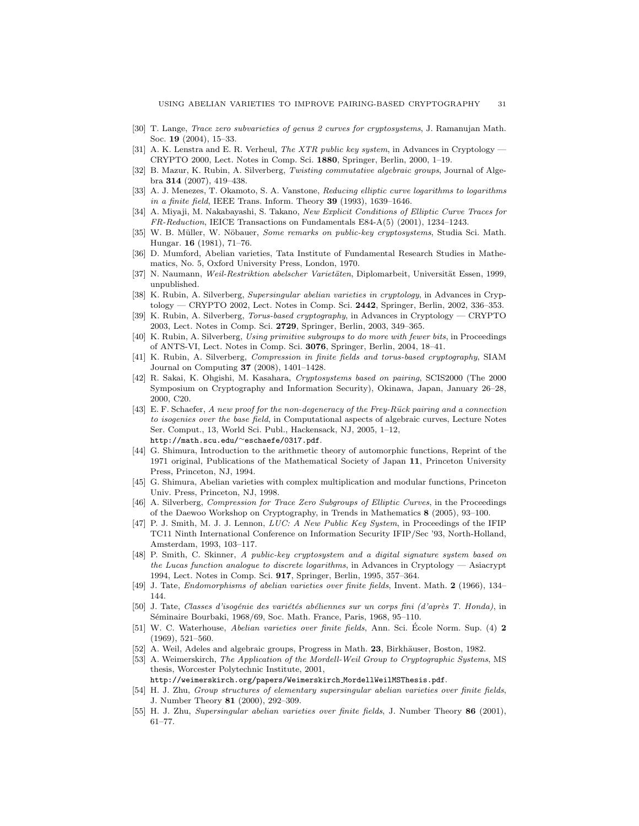- [30] T. Lange, Trace zero subvarieties of genus 2 curves for cryptosystems, J. Ramanujan Math. Soc. 19 (2004), 15–33.
- [31] A. K. Lenstra and E. R. Verheul, *The XTR public key system*, in Advances in Cryptology CRYPTO 2000, Lect. Notes in Comp. Sci. 1880, Springer, Berlin, 2000, 1–19.
- [32] B. Mazur, K. Rubin, A. Silverberg, Twisting commutative algebraic groups, Journal of Algebra 314 (2007), 419–438.
- [33] A. J. Menezes, T. Okamoto, S. A. Vanstone, Reducing elliptic curve logarithms to logarithms in a finite field, IEEE Trans. Inform. Theory  $39$  (1993), 1639–1646.
- [34] A. Miyaji, M. Nakabayashi, S. Takano, New Explicit Conditions of Elliptic Curve Traces for FR-Reduction, IEICE Transactions on Fundamentals E84-A(5) (2001), 1234–1243.
- [35] W. B. Müller, W. Nöbauer, Some remarks on public-key cryptosystems, Studia Sci. Math. Hungar. 16 (1981), 71–76.
- [36] D. Mumford, Abelian varieties, Tata Institute of Fundamental Research Studies in Mathematics, No. 5, Oxford University Press, London, 1970.
- [37] N. Naumann, Weil-Restriktion abelscher Varietäten, Diplomarbeit, Universität Essen, 1999, unpublished.
- [38] K. Rubin, A. Silverberg, Supersingular abelian varieties in cryptology, in Advances in Cryptology — CRYPTO 2002, Lect. Notes in Comp. Sci. 2442, Springer, Berlin, 2002, 336–353.
- [39] K. Rubin, A. Silverberg, Torus-based cryptography, in Advances in Cryptology CRYPTO 2003, Lect. Notes in Comp. Sci. 2729, Springer, Berlin, 2003, 349–365.
- [40] K. Rubin, A. Silverberg, Using primitive subgroups to do more with fewer bits, in Proceedings of ANTS-VI, Lect. Notes in Comp. Sci. 3076, Springer, Berlin, 2004, 18–41.
- [41] K. Rubin, A. Silverberg, Compression in finite fields and torus-based cryptography, SIAM Journal on Computing 37 (2008), 1401–1428.
- [42] R. Sakai, K. Ohgishi, M. Kasahara, Cryptosystems based on pairing, SCIS2000 (The 2000 Symposium on Cryptography and Information Security), Okinawa, Japan, January 26–28, 2000, C20.
- [43] E. F. Schaefer, A new proof for the non-degeneracy of the Frey-Rück pairing and a connection to isogenies over the base field, in Computational aspects of algebraic curves, Lecture Notes Ser. Comput., 13, World Sci. Publ., Hackensack, NJ, 2005, 1–12, http://math.scu.edu/∼eschaefe/0317.pdf.
- [44] G. Shimura, Introduction to the arithmetic theory of automorphic functions, Reprint of the 1971 original, Publications of the Mathematical Society of Japan 11, Princeton University Press, Princeton, NJ, 1994.
- [45] G. Shimura, Abelian varieties with complex multiplication and modular functions, Princeton Univ. Press, Princeton, NJ, 1998.
- [46] A. Silverberg, Compression for Trace Zero Subgroups of Elliptic Curves, in the Proceedings of the Daewoo Workshop on Cryptography, in Trends in Mathematics 8 (2005), 93–100.
- [47] P. J. Smith, M. J. J. Lennon, LUC: A New Public Key System, in Proceedings of the IFIP TC11 Ninth International Conference on Information Security IFIP/Sec '93, North-Holland, Amsterdam, 1993, 103–117.
- [48] P. Smith, C. Skinner, A public-key cryptosystem and a digital signature system based on the Lucas function analogue to discrete logarithms, in Advances in Cryptology — Asiacrypt 1994, Lect. Notes in Comp. Sci. 917, Springer, Berlin, 1995, 357–364.
- [49] J. Tate, Endomorphisms of abelian varieties over finite fields, Invent. Math. 2 (1966), 134– 144.
- [50] J. Tate, Classes d'isogénie des variétés abéliennes sur un corps fini (d'après T. Honda), in Séminaire Bourbaki, 1968/69, Soc. Math. France, Paris, 1968, 95-110.
- [51] W. C. Waterhouse, Abelian varieties over finite fields, Ann. Sci. École Norm. Sup. (4) 2 (1969), 521–560.
- [52] A. Weil, Adeles and algebraic groups, Progress in Math. 23, Birkhäuser, Boston, 1982.
- [53] A. Weimerskirch, The Application of the Mordell-Weil Group to Cryptographic Systems, MS thesis, Worcester Polytechnic Institute, 2001, http://weimerskirch.org/papers/Weimerskirch MordellWeilMSThesis.pdf.
- [54] H. J. Zhu, Group structures of elementary supersingular abelian varieties over finite fields, J. Number Theory 81 (2000), 292–309.
- [55] H. J. Zhu, Supersingular abelian varieties over finite fields, J. Number Theory 86 (2001), 61–77.